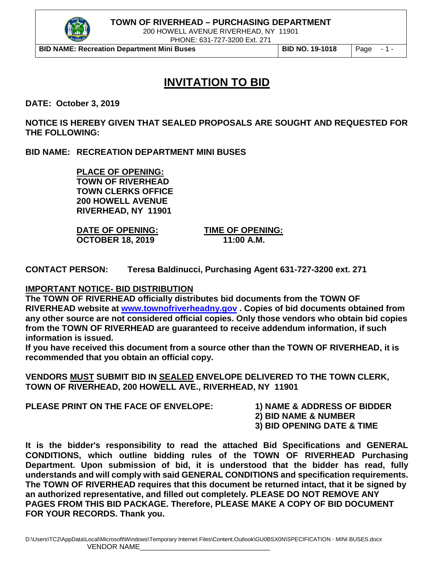

200 HOWELL AVENUE RIVERHEAD, NY 11901

PHONE: 631-727-3200 Ext. 271

**BID NAME: Recreation Department Mini Buses BID NO. 19-1018** Page - 1 -

# **INVITATION TO BID**

**DATE: October 3, 2019**

**NOTICE IS HEREBY GIVEN THAT SEALED PROPOSALS ARE SOUGHT AND REQUESTED FOR THE FOLLOWING:**

**BID NAME: RECREATION DEPARTMENT MINI BUSES**

**PLACE OF OPENING: TOWN OF RIVERHEAD TOWN CLERKS OFFICE 200 HOWELL AVENUE RIVERHEAD, NY 11901**

**DATE OF OPENING: TIME OF OPENING: OCTOBER 18, 2019 11:00 A.M.** 

**CONTACT PERSON: Teresa Baldinucci, Purchasing Agent 631-727-3200 ext. 271**

#### **IMPORTANT NOTICE- BID DISTRIBUTION**

**The TOWN OF RIVERHEAD officially distributes bid documents from the TOWN OF RIVERHEAD website at [www.townofriverheadny.gov](http://www.townofriverheadny.gov/) . Copies of bid documents obtained from any other source are not considered official copies. Only those vendors who obtain bid copies from the TOWN OF RIVERHEAD are guaranteed to receive addendum information, if such information is issued.**

**If you have received this document from a source other than the TOWN OF RIVERHEAD, it is recommended that you obtain an official copy.**

**VENDORS MUST SUBMIT BID IN SEALED ENVELOPE DELIVERED TO THE TOWN CLERK, TOWN OF RIVERHEAD, 200 HOWELL AVE., RIVERHEAD, NY 11901**

**PLEASE PRINT ON THE FACE OF ENVELOPE: 1) NAME & ADDRESS OF BIDDER**

- 
- **2) BID NAME & NUMBER**
- **3) BID OPENING DATE & TIME**

**It is the bidder's responsibility to read the attached Bid Specifications and GENERAL CONDITIONS, which outline bidding rules of the TOWN OF RIVERHEAD Purchasing Department. Upon submission of bid, it is understood that the bidder has read, fully understands and will comply with said GENERAL CONDITIONS and specification requirements. The TOWN OF RIVERHEAD requires that this document be returned intact, that it be signed by an authorized representative, and filled out completely. PLEASE DO NOT REMOVE ANY PAGES FROM THIS BID PACKAGE. Therefore, PLEASE MAKE A COPY OF BID DOCUMENT FOR YOUR RECORDS. Thank you.**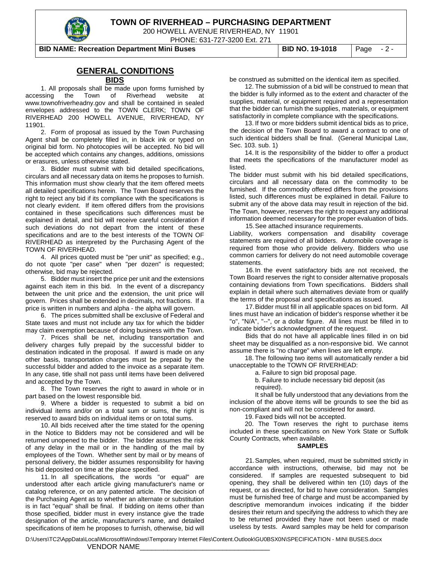

200 HOWELL AVENUE RIVERHEAD, NY 11901

PHONE: 631-727-3200 Ext. 271

**BID NAME: Recreation Department Mini Buses BID NO. 19-1018** Page - 2 -

#### **GENERAL CONDITIONS**

#### **BIDS**

1. All proposals shall be made upon forms furnished by accessing the Town of Riverhead website at www.townofriverheadny.gov and shall be contained in sealed envelopes addressed to the TOWN CLERK; TOWN OF RIVERHEAD 200 HOWELL AVENUE, RIVERHEAD, NY 11901.

2. Form of proposal as issued by the Town Purchasing Agent shall be completely filled in, in black ink or typed on original bid form. No photocopies will be accepted. No bid will be accepted which contains any changes, additions, omissions or erasures, unless otherwise stated.

3. Bidder must submit with bid detailed specifications, circulars and all necessary data on items he proposes to furnish. This information must show clearly that the item offered meets all detailed specifications herein. The Town Board reserves the right to reject any bid if its compliance with the specifications is not clearly evident. If item offered differs from the provisions contained in these specifications such differences must be explained in detail, and bid will receive careful consideration if such deviations do not depart from the intent of these specifications and are to the best interests of the TOWN OF RIVERHEAD as interpreted by the Purchasing Agent of the TOWN OF RIVERHEAD.

4. All prices quoted must be "per unit" as specified; e.g., do not quote "per case" when "per dozen" is requested; otherwise, bid may be rejected.

5. Bidder must insert the price per unit and the extensions against each item in this bid. In the event of a discrepancy between the unit price and the extension, the unit price will govern. Prices shall be extended in decimals, not fractions. If a price is written in numbers and alpha - the alpha will govern.

6. The prices submitted shall be exclusive of Federal and State taxes and must not include any tax for which the bidder may claim exemption because of doing business with the Town.

7. Prices shall be net, including transportation and delivery charges fully prepaid by the successful bidder to destination indicated in the proposal. If award is made on any other basis, transportation charges must be prepaid by the successful bidder and added to the invoice as a separate item. In any case, title shall not pass until items have been delivered and accepted by the Town.

8. The Town reserves the right to award in whole or in part based on the lowest responsible bid.

9. Where a bidder is requested to submit a bid on individual items and/or on a total sum or sums, the right is reserved to award bids on individual items or on total sums.

10. All bids received after the time stated for the opening in the Notice to Bidders may not be considered and will be returned unopened to the bidder. The bidder assumes the risk of any delay in the mail or in the handling of the mail by employees of the Town. Whether sent by mail or by means of personal delivery, the bidder assumes responsibility for having his bid deposited on time at the place specified.

11. In all specifications, the words "or equal" are understood after each article giving manufacturer's name or catalog reference, or on any patented article. The decision of the Purchasing Agent as to whether an alternate or substitution is in fact "equal" shall be final. If bidding on items other than those specified, bidder must in every instance give the trade designation of the article, manufacturer's name, and detailed specifications of item he proposes to furnish, otherwise, bid will

be construed as submitted on the identical item as specified.

12. The submission of a bid will be construed to mean that the bidder is fully informed as to the extent and character of the supplies, material, or equipment required and a representation that the bidder can furnish the supplies, materials, or equipment satisfactorily in complete compliance with the specifications.

13. If two or more bidders submit identical bids as to price, the decision of the Town Board to award a contract to one of such identical bidders shall be final. (General Municipal Law, Sec. 103. sub. 1)

14. It is the responsibility of the bidder to offer a product that meets the specifications of the manufacturer model as listed.

The bidder must submit with his bid detailed specifications, circulars and all necessary data on the commodity to be furnished. If the commodity offered differs from the provisions listed, such differences must be explained in detail. Failure to submit any of the above data may result in rejection of the bid. The Town, however, reserves the right to request any additional information deemed necessary for the proper evaluation of bids. 15.See attached insurance requirements.

Liability, workers compensation and disability coverage statements are required of all bidders. Automobile coverage is required from those who provide delivery. Bidders who use common carriers for delivery do not need automobile coverage statements.

16.In the event satisfactory bids are not received, the Town Board reserves the right to consider alternative proposals containing deviations from Town specifications. Bidders shall explain in detail where such alternatives deviate from or qualify the terms of the proposal and specifications as issued.

17.Bidder must fill in all applicable spaces on bid form. All lines must have an indication of bidder's response whether it be "o", "N/A", "--", or a dollar figure. All lines must be filled in to indicate bidder's acknowledgment of the request.

Bids that do not have all applicable lines filled in on bid sheet may be disqualified as a non-responsive bid. We cannot assume there is "no charge" when lines are left empty.

18. The following two items will automatically render a bid unacceptable to the TOWN OF RIVERHEAD:

a. Failure to sign bid proposal page.

b. Failure to include necessary bid deposit (as required).

It shall be fully understood that any deviations from the inclusion of the above items will be grounds to see the bid as non-compliant and will not be considered for award.

19. Faxed bids will not be accepted.

20. The Town reserves the right to purchase items included in these specifications on New York State or Suffolk County Contracts, when available.

#### **SAMPLES**

21.Samples, when required, must be submitted strictly in accordance with instructions, otherwise, bid may not be considered. If samples are requested subsequent to bid If samples are requested subsequent to bid opening, they shall be delivered within ten (10) days of the request, or as directed, for bid to have consideration. Samples must be furnished free of charge and must be accompanied by descriptive memorandum invoices indicating if the bidder desires their return and specifying the address to which they are to be returned provided they have not been used or made useless by tests. Award samples may be held for comparison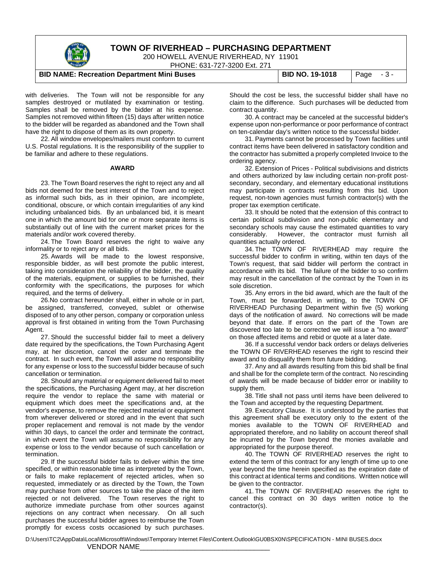

200 HOWELL AVENUE RIVERHEAD, NY 11901

PHONE: 631-727-3200 Ext. 271

#### **BID NAME: Recreation Department Mini Buses | BID NO. 19-1018 | Page - 3 -**

with deliveries. The Town will not be responsible for any samples destroyed or mutilated by examination or testing. Samples shall be removed by the bidder at his expense. Samples not removed within fifteen (15) days after written notice to the bidder will be regarded as abandoned and the Town shall have the right to dispose of them as its own property.

22. All window envelopes/mailers must conform to current U.S. Postal regulations. It is the responsibility of the supplier to be familiar and adhere to these regulations.

#### **AWARD**

23. The Town Board reserves the right to reject any and all bids not deemed for the best interest of the Town and to reject as informal such bids, as in their opinion, are incomplete, conditional, obscure, or which contain irregularities of any kind including unbalanced bids. By an unbalanced bid, it is meant one in which the amount bid for one or more separate items is substantially out of line with the current market prices for the materials and/or work covered thereby.

24. The Town Board reserves the right to waive any informality or to reject any or all bids.

25. Awards will be made to the lowest responsive, responsible bidder, as will best promote the public interest, taking into consideration the reliability of the bidder, the quality of the materials, equipment, or supplies to be furnished, their conformity with the specifications, the purposes for which required, and the terms of delivery.

26.No contract hereunder shall, either in whole or in part, be assigned, transferred, conveyed, sublet or otherwise disposed of to any other person, company or corporation unless approval is first obtained in writing from the Town Purchasing Agent.

27. Should the successful bidder fail to meet a delivery date required by the specifications, the Town Purchasing Agent may, at her discretion, cancel the order and terminate the contract. In such event, the Town will assume no responsibility for any expense or loss to the successful bidder because of such cancellation or termination.

28. Should any material or equipment delivered fail to meet the specifications, the Purchasing Agent may, at her discretion require the vendor to replace the same with material or equipment which does meet the specifications and, at the vendor's expense, to remove the rejected material or equipment from wherever delivered or stored and in the event that such proper replacement and removal is not made by the vendor within 30 days, to cancel the order and terminate the contract, in which event the Town will assume no responsibility for any expense or loss to the vendor because of such cancellation or termination.

29. If the successful bidder fails to deliver within the time specified, or within reasonable time as interpreted by the Town, or fails to make replacement of rejected articles, when so requested, immediately or as directed by the Town, the Town may purchase from other sources to take the place of the item rejected or not delivered. The Town reserves the right to authorize immediate purchase from other sources against rejections on any contract when necessary. On all such purchases the successful bidder agrees to reimburse the Town promptly for excess costs occasioned by such purchases.

Should the cost be less, the successful bidder shall have no claim to the difference. Such purchases will be deducted from contract quantity.

30. A contract may be canceled at the successful bidder's expense upon non-performance or poor performance of contract on ten-calendar day's written notice to the successful bidder.

31. Payments cannot be processed by Town facilities until contract items have been delivered in satisfactory condition and the contractor has submitted a properly completed Invoice to the ordering agency.

32. Extension of Prices - Political subdivisions and districts and others authorized by law including certain non-profit postsecondary, secondary, and elementary educational institutions may participate in contracts resulting from this bid. Upon request, non-town agencies must furnish contractor(s) with the proper tax exemption certificate.

33. It should be noted that the extension of this contract to certain political subdivision and non-public elementary and secondary schools may cause the estimated quantities to vary considerably. However, the contractor must furnish all quantities actually ordered.

34. The TOWN OF RIVERHEAD may require the successful bidder to confirm in writing, within ten days of the Town's request, that said bidder will perform the contract in accordance with its bid. The failure of the bidder to so confirm may result in the cancellation of the contract by the Town in its sole discretion.

35. Any errors in the bid award, which are the fault of the Town, must be forwarded, in writing, to the TOWN OF RIVERHEAD Purchasing Department within five (5) working days of the notification of award. No corrections will be made beyond that date. If errors on the part of the Town are discovered too late to be corrected we will issue a "no award" on those affected items and rebid or quote at a later date.

36. If a successful vendor back orders or delays deliveries the TOWN OF RIVERHEAD reserves the right to rescind their award and to disqualify them from future bidding.

37. Any and all awards resulting from this bid shall be final and shall be for the complete term of the contract. No rescinding of awards will be made because of bidder error or inability to supply them.

38. Title shall not pass until items have been delivered to the Town and accepted by the requesting Department.

39. Executory Clause. It is understood by the parties that this agreement shall be executory only to the extent of the monies available to the TOWN OF RIVERHEAD and appropriated therefore, and no liability on account thereof shall be incurred by the Town beyond the monies available and appropriated for the purpose thereof.

40. The TOWN OF RIVERHEAD reserves the right to extend the term of this contract for any length of time up to one year beyond the time herein specified as the expiration date of this contract at identical terms and conditions. Written notice will be given to the contractor.

41. The TOWN OF RIVERHEAD reserves the right to cancel this contract on 30 days written notice to the contractor(s).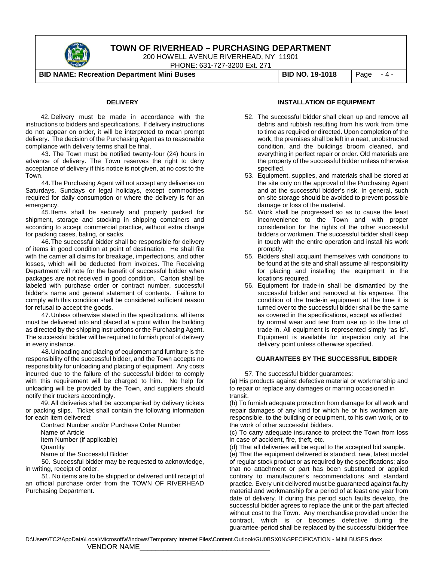

200 HOWELL AVENUE RIVERHEAD, NY 11901

PHONE: 631-727-3200 Ext. 271

**BID NAME: Recreation Department Mini Buses BID NO. 19-1018** Page - 4 -

#### **DELIVERY**

42. Delivery must be made in accordance with the instructions to bidders and specifications. If delivery instructions do not appear on order, it will be interpreted to mean prompt delivery. The decision of the Purchasing Agent as to reasonable compliance with delivery terms shall be final.

 43. The Town must be notified twenty-four (24) hours in advance of delivery. The Town reserves the right to deny acceptance of delivery if this notice is not given, at no cost to the Town.

44.The Purchasing Agent will not accept any deliveries on Saturdays, Sundays or legal holidays, except commodities required for daily consumption or where the delivery is for an emergency.

45.Items shall be securely and properly packed for shipment, storage and stocking in shipping containers and according to accept commercial practice, without extra charge for packing cases, baling, or sacks.

46.The successful bidder shall be responsible for delivery of items in good condition at point of destination. He shall file with the carrier all claims for breakage, imperfections, and other losses, which will be deducted from invoices. The Receiving Department will note for the benefit of successful bidder when packages are not received in good condition. Carton shall be labeled with purchase order or contract number, successful bidder's name and general statement of contents. Failure to comply with this condition shall be considered sufficient reason for refusal to accept the goods.

47.Unless otherwise stated in the specifications, all items must be delivered into and placed at a point within the building as directed by the shipping instructions or the Purchasing Agent. The successful bidder will be required to furnish proof of delivery in every instance.

48.Unloading and placing of equipment and furniture is the responsibility of the successful bidder, and the Town accepts no responsibility for unloading and placing of equipment. Any costs incurred due to the failure of the successful bidder to comply with this requirement will be charged to him. No help for unloading will be provided by the Town, and suppliers should notify their truckers accordingly.

49. All deliveries shall be accompanied by delivery tickets or packing slips. Ticket shall contain the following information for each item delivered:

Contract Number and/or Purchase Order Number Name of Article Item Number (if applicable) **Quantity** Name of the Successful Bidder

 50. Successful bidder may be requested to acknowledge, in writing, receipt of order.

 51. No items are to be shipped or delivered until receipt of an official purchase order from the TOWN OF RIVERHEAD Purchasing Department.

#### **INSTALLATION OF EQUIPMENT**

- 52. The successful bidder shall clean up and remove all debris and rubbish resulting from his work from time to time as required or directed. Upon completion of the work, the premises shall be left in a neat, unobstructed condition, and the buildings broom cleaned, and everything in perfect repair or order. Old materials are the property of the successful bidder unless otherwise specified.
- 53. Equipment, supplies, and materials shall be stored at the site only on the approval of the Purchasing Agent and at the successful bidder's risk. In general, such on-site storage should be avoided to prevent possible damage or loss of the material.
- 54. Work shall be progressed so as to cause the least inconvenience to the Town and with proper consideration for the rights of the other successful bidders or workmen. The successful bidder shall keep in touch with the entire operation and install his work promptly.
- 55. Bidders shall acquaint themselves with conditions to be found at the site and shall assume all responsibility for placing and installing the equipment in the locations required.
- 56. Equipment for trade-in shall be dismantled by the successful bidder and removed at his expense. The condition of the trade-in equipment at the time it is turned over to the successful bidder shall be the same as covered in the specifications, except as affected by normal wear and tear from use up to the time of trade-in. All equipment is represented simply "as is". Equipment is available for inspection only at the delivery point unless otherwise specified.

#### **GUARANTEES BY THE SUCCESSFUL BIDDER**

57. The successful bidder guarantees:

(a) His products against defective material or workmanship and to repair or replace any damages or marring occasioned in transit.

(b) To furnish adequate protection from damage for all work and repair damages of any kind for which he or his workmen are responsible, to the building or equipment, to his own work, or to the work of other successful bidders.

(c) To carry adequate insurance to protect the Town from loss in case of accident, fire, theft, etc.

(d) That all deliveries will be equal to the accepted bid sample.

(e) That the equipment delivered is standard, new, latest model of regular stock product or as required by the specifications; also that no attachment or part has been substituted or applied contrary to manufacturer's recommendations and standard practice. Every unit delivered must be guaranteed against faulty material and workmanship for a period of at least one year from date of delivery. If during this period such faults develop, the successful bidder agrees to replace the unit or the part affected without cost to the Town. Any merchandise provided under the contract, which is or becomes defective during the guarantee-period shall be replaced by the successful bidder free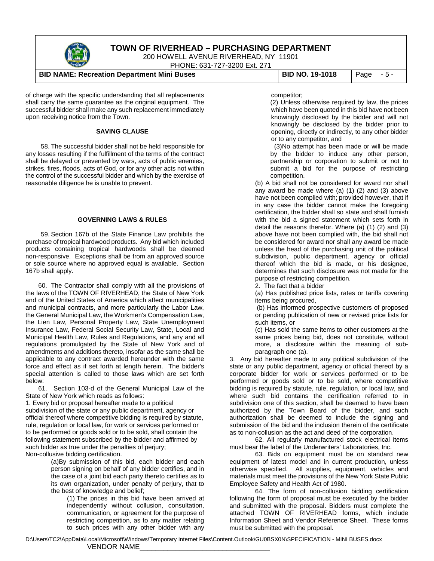

200 HOWELL AVENUE RIVERHEAD, NY 11901

PHONE: 631-727-3200 Ext. 271

#### **BID NAME: Recreation Department Mini Buses | BID NO. 19-1018 | Page - 5 -**

of charge with the specific understanding that all replacements shall carry the same guarantee as the original equipment. The successful bidder shall make any such replacement immediately upon receiving notice from the Town.

#### **SAVING CLAUSE**

58. The successful bidder shall not be held responsible for any losses resulting if the fulfillment of the terms of the contract shall be delayed or prevented by wars, acts of public enemies, strikes, fires, floods, acts of God, or for any other acts not within the control of the successful bidder and which by the exercise of reasonable diligence he is unable to prevent.

#### **GOVERNING LAWS & RULES**

59. Section 167b of the State Finance Law prohibits the purchase of tropical hardwood products. Any bid which included products containing tropical hardwoods shall be deemed non-responsive. Exceptions shall be from an approved source or sole source where no approved equal is available. Section 167b shall apply.

60. The Contractor shall comply with all the provisions of the laws of the TOWN OF RIVERHEAD, the State of New York and of the United States of America which affect municipalities and municipal contracts, and more particularly the Labor Law, the General Municipal Law, the Workmen's Compensation Law, the Lien Law, Personal Property Law, State Unemployment Insurance Law, Federal Social Security Law, State, Local and Municipal Health Law, Rules and Regulations, and any and all regulations promulgated by the State of New York and of amendments and additions thereto, insofar as the same shall be applicable to any contract awarded hereunder with the same force and effect as if set forth at length herein. The bidder's special attention is called to those laws which are set forth below:

61. Section 103-d of the General Municipal Law of the State of New York which reads as follows:

1. Every bid or proposal hereafter made to a political subdivision of the state or any public department, agency or official thereof where competitive bidding is required by statute, rule, regulation or local law, for work or services performed or to be performed or goods sold or to be sold, shall contain the following statement subscribed by the bidder and affirmed by such bidder as true under the penalties of perjury; Non-collusive bidding certification.

> (a)By submission of this bid, each bidder and each person signing on behalf of any bidder certifies, and in the case of a joint bid each party thereto certifies as to its own organization, under penalty of perjury, that to the best of knowledge and belief;

(1) The prices in this bid have been arrived at independently without collusion, consultation, communication, or agreement for the purpose of restricting competition, as to any matter relating to such prices with any other bidder with any

#### competitor;

(2) Unless otherwise required by law, the prices which have been quoted in this bid have not been knowingly disclosed by the bidder and will not knowingly be disclosed by the bidder prior to opening, directly or indirectly, to any other bidder or to any competitor, and

(3)No attempt has been made or will be made by the bidder to induce any other person, partnership or corporation to submit or not to submit a bid for the purpose of restricting competition.

(b) A bid shall not be considered for award nor shall any award be made where (a) (1) (2) and (3) above have not been complied with; provided however, that if in any case the bidder cannot make the foregoing certification, the bidder shall so state and shall furnish with the bid a signed statement which sets forth in detail the reasons therefor. Where (a) (1) (2) and (3) above have not been complied with, the bid shall not be considered for award nor shall any award be made unless the head of the purchasing unit of the political subdivision, public department, agency or official thereof which the bid is made, or his designee, determines that such disclosure was not made for the purpose of restricting competition.

2. The fact that a bidder

(a) Has published price lists, rates or tariffs covering items being procured,

(b) Has informed prospective customers of proposed or pending publication of new or revised price lists for such items, or

(c) Has sold the same items to other customers at the same prices being bid, does not constitute, without more, a disclosure within the meaning of subparagraph one (a).

3. Any bid hereafter made to any political subdivision of the state or any public department, agency or official thereof by a corporate bidder for work or services performed or to be performed or goods sold or to be sold, where competitive bidding is required by statute, rule, regulation, or local law, and where such bid contains the certification referred to in subdivision one of this section, shall be deemed to have been authorized by the Town Board of the bidder, and such authorization shall be deemed to include the signing and submission of the bid and the inclusion therein of the certificate as to non-collusion as the act and deed of the corporation.

62. All regularly manufactured stock electrical items must bear the label of the Underwriters' Laboratories, Inc.

63. Bids on equipment must be on standard new equipment of latest model and in current production, unless otherwise specified. All supplies, equipment, vehicles and materials must meet the provisions of the New York State Public Employee Safety and Health Act of 1980.

64. The form of non-collusion bidding certification following the form of proposal must be executed by the bidder and submitted with the proposal. Bidders must complete the attached TOWN OF RIVERHEAD forms, which include Information Sheet and Vendor Reference Sheet. These forms must be submitted with the proposal.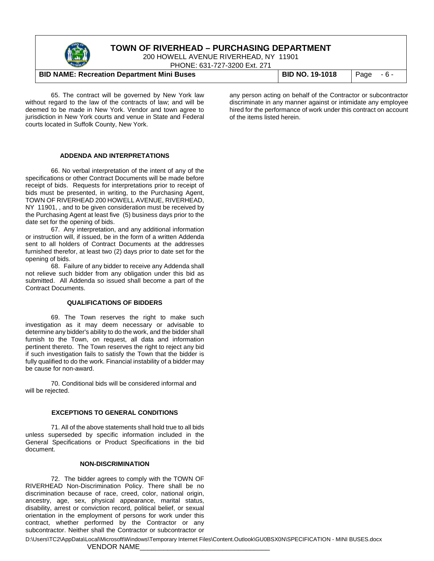

200 HOWELL AVENUE RIVERHEAD, NY 11901

PHONE: 631-727-3200 Ext. 271

#### **BID NAME: Recreation Department Mini Buses BID NO. 19-1018** Page - 6 -

65. The contract will be governed by New York law without regard to the law of the contracts of law; and will be deemed to be made in New York. Vendor and town agree to jurisdiction in New York courts and venue in State and Federal courts located in Suffolk County, New York.

any person acting on behalf of the Contractor or subcontractor discriminate in any manner against or intimidate any employee hired for the performance of work under this contract on account of the items listed herein.

#### **ADDENDA AND INTERPRETATIONS**

66. No verbal interpretation of the intent of any of the specifications or other Contract Documents will be made before receipt of bids. Requests for interpretations prior to receipt of bids must be presented, in writing, to the Purchasing Agent, TOWN OF RIVERHEAD 200 HOWELL AVENUE, RIVERHEAD, NY 11901, , and to be given consideration must be received by the Purchasing Agent at least five (5) business days prior to the date set for the opening of bids.

67. Any interpretation, and any additional information or instruction will, if issued, be in the form of a written Addenda sent to all holders of Contract Documents at the addresses furnished therefor, at least two (2) days prior to date set for the opening of bids.

68. Failure of any bidder to receive any Addenda shall not relieve such bidder from any obligation under this bid as submitted. All Addenda so issued shall become a part of the Contract Documents.

#### **QUALIFICATIONS OF BIDDERS**

69. The Town reserves the right to make such investigation as it may deem necessary or advisable to determine any bidder's ability to do the work, and the bidder shall furnish to the Town, on request, all data and information pertinent thereto. The Town reserves the right to reject any bid if such investigation fails to satisfy the Town that the bidder is fully qualified to do the work. Financial instability of a bidder may be cause for non-award.

70. Conditional bids will be considered informal and will be rejected.

#### **EXCEPTIONS TO GENERAL CONDITIONS**

71. All of the above statements shall hold true to all bids unless superseded by specific information included in the General Specifications or Product Specifications in the bid document.

#### **NON-DISCRIMINATION**

72. The bidder agrees to comply with the TOWN OF RIVERHEAD Non-Discrimination Policy. There shall be no discrimination because of race, creed, color, national origin, ancestry, age, sex, physical appearance, marital status, disability, arrest or conviction record, political belief, or sexual orientation in the employment of persons for work under this contract, whether performed by the Contractor or any subcontractor. Neither shall the Contractor or subcontractor or

D:\Users\TC2\AppData\Local\Microsoft\Windows\Temporary Internet Files\Content.Outlook\GU0BSX0N\SPECIFICATION - MINI BUSES.docx

#### VENDOR NAME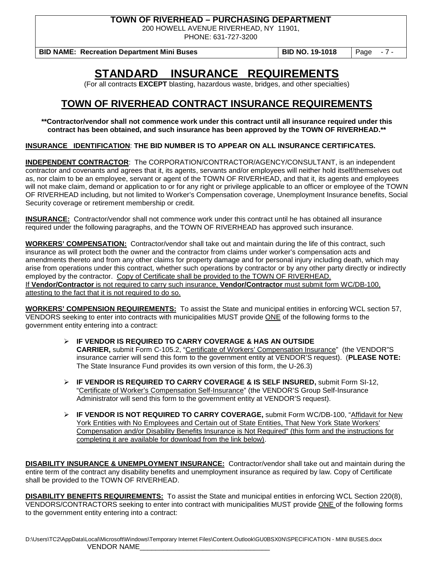200 HOWELL AVENUE RIVERHEAD, NY 11901,

PHONE: 631-727-3200

**BID NAME: Recreation Department Mini Buses | BID NO. 19-1018 | Page - 7 -**

**STANDARD INSURANCE REQUIREMENTS**

(For all contracts **EXCEPT** blasting, hazardous waste, bridges, and other specialties)

# **TOWN OF RIVERHEAD CONTRACT INSURANCE REQUIREMENTS**

**\*\*Contractor/vendor shall not commence work under this contract until all insurance required under this contract has been obtained, and such insurance has been approved by the TOWN OF RIVERHEAD.\*\***

**INSURANCE IDENTIFICATION**: **THE BID NUMBER IS TO APPEAR ON ALL INSURANCE CERTIFICATES.**

**INDEPENDENT CONTRACTOR**: The CORPORATION/CONTRACTOR/AGENCY/CONSULTANT, is an independent contractor and covenants and agrees that it, its agents, servants and/or employees will neither hold itself/themselves out as, nor claim to be an employee, servant or agent of the TOWN OF RIVERHEAD, and that it, its agents and employees will not make claim, demand or application to or for any right or privilege applicable to an officer or employee of the TOWN OF RIVERHEAD including, but not limited to Worker's Compensation coverage, Unemployment Insurance benefits, Social Security coverage or retirement membership or credit.

**INSURANCE:** Contractor/vendor shall not commence work under this contract until he has obtained all insurance required under the following paragraphs, and the TOWN OF RIVERHEAD has approved such insurance.

**WORKERS' COMPENSATION:** Contractor/vendor shall take out and maintain during the life of this contract, such insurance as will protect both the owner and the contractor from claims under worker's compensation acts and amendments thereto and from any other claims for property damage and for personal injury including death, which may arise from operations under this contract, whether such operations by contractor or by any other party directly or indirectly employed by the contractor. Copy of Certificate shall be provided to the TOWN OF RIVERHEAD. If **Vendor/Contractor** is not required to carry such insurance, **Vendor/Contractor** must submit form WC/DB-100, attesting to the fact that it is not required to do so.

**WORKERS' COMPENSION REQUIREMENTS:** To assist the State and municipal entities in enforcing WCL section 57, VENDORS seeking to enter into contracts with municipalities MUST provide ONE of the following forms to the government entity entering into a contract:

- **IF VENDOR IS REQUIRED TO CARRY COVERAGE & HAS AN OUTSIDE CARRIER,** submit Form C-105.2, "Certificate of Workers' Compensation Insurance" (the VENDOR"S insurance carrier will send this form to the government entity at VENDOR'S request). (**PLEASE NOTE:** The State Insurance Fund provides its own version of this form, the U-26.3)
- **IF VENDOR IS REQUIRED TO CARRY COVERAGE & IS SELF INSURED,** submit Form SI-12, "Certificate of Worker's Compensation Self-Insurance" (the VENDOR'S Group Self-Insurance Administrator will send this form to the government entity at VENDOR'S request).
- **IF VENDOR IS NOT REQUIRED TO CARRY COVERAGE,** submit Form WC/DB-100, "Affidavit for New York Entities with No Employees and Certain out of State Entities, That New York State Workers' Compensation and/or Disability Benefits Insurance is Not Required" (this form and the instructions for completing it are available for download from the link below).

**DISABILITY INSURANCE & UNEMPLOYMENT INSURANCE:** Contractor/vendor shall take out and maintain during the entire term of the contract any disability benefits and unemployment insurance as required by law. Copy of Certificate shall be provided to the TOWN OF RIVERHEAD.

**DISABILITY BENEFITS REQUIREMENTS:** To assist the State and municipal entities in enforcing WCL Section 220(8), VENDORS/CONTRACTORS seeking to enter into contract with municipalities MUST provide ONE of the following forms to the government entity entering into a contract: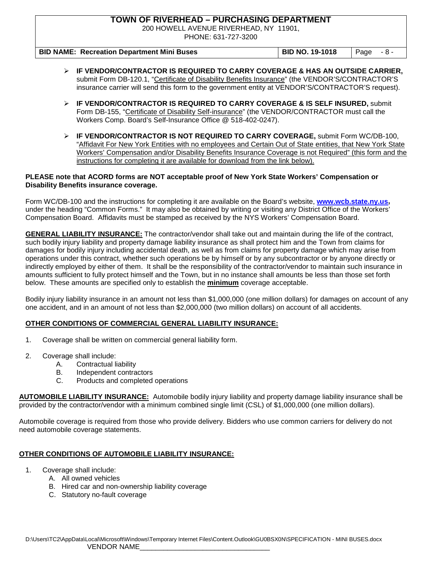200 HOWELL AVENUE RIVERHEAD, NY 11901,

PHONE: 631-727-3200

| <b>BID NAME: Recreation Department Mini Buses</b> | <b>BID NO. 19-1018</b> | $\vert$ Page $-8$ - |
|---------------------------------------------------|------------------------|---------------------|

- **IF VENDOR/CONTRACTOR IS REQUIRED TO CARRY COVERAGE & HAS AN OUTSIDE CARRIER,**  submit Form DB-120.1, "Certificate of Disability Benefits Insurance" (the VENDOR'S/CONTRACTOR'S insurance carrier will send this form to the government entity at VENDOR'S/CONTRACTOR'S request).
- **IF VENDOR/CONTRACTOR IS REQUIRED TO CARRY COVERAGE & IS SELF INSURED,** submit Form DB-155, "Certificate of Disability Self-insurance" (the VENDOR/CONTRACTOR must call the Workers Comp. Board's Self-Insurance Office @ 518-402-0247).
- **IF VENDOR/CONTRACTOR IS NOT REQUIRED TO CARRY COVERAGE,** submit Form WC/DB-100, "Affidavit For New York Entities with no employees and Certain Out of State entities, that New York State Workers' Compensation and/or Disability Benefits Insurance Coverage is not Required" (this form and the instructions for completing it are available for download from the link below).

#### **PLEASE note that ACORD forms are NOT acceptable proof of New York State Workers' Compensation or Disability Benefits insurance coverage.**

Form WC/DB-100 and the instructions for completing it are available on the Board's website, **[www.wcb.state.ny.us,](http://www.wcb.state.ny.us/)**  under the heading "Common Forms." It may also be obtained by writing or visiting any District Office of the Workers' Compensation Board. Affidavits must be stamped as received by the NYS Workers' Compensation Board.

**GENERAL LIABILITY INSURANCE:** The contractor/vendor shall take out and maintain during the life of the contract, such bodily injury liability and property damage liability insurance as shall protect him and the Town from claims for damages for bodily injury including accidental death, as well as from claims for property damage which may arise from operations under this contract, whether such operations be by himself or by any subcontractor or by anyone directly or indirectly employed by either of them. It shall be the responsibility of the contractor/vendor to maintain such insurance in amounts sufficient to fully protect himself and the Town, but in no instance shall amounts be less than those set forth below. These amounts are specified only to establish the **minimum** coverage acceptable.

Bodily injury liability insurance in an amount not less than \$1,000,000 (one million dollars) for damages on account of any one accident, and in an amount of not less than \$2,000,000 (two million dollars) on account of all accidents.

#### **OTHER CONDITIONS OF COMMERCIAL GENERAL LIABILITY INSURANCE:**

- 1. Coverage shall be written on commercial general liability form.
- 2. Coverage shall include:
	- A. Contractual liability
	- B. Independent contractors<br>C. Products and completed
	- Products and completed operations

**AUTOMOBILE LIABILITY INSURANCE:** Automobile bodily injury liability and property damage liability insurance shall be provided by the contractor/vendor with a minimum combined single limit (CSL) of \$1,000,000 (one million dollars).

Automobile coverage is required from those who provide delivery. Bidders who use common carriers for delivery do not need automobile coverage statements.

#### **OTHER CONDITIONS OF AUTOMOBILE LIABILITY INSURANCE:**

- 1. Coverage shall include:
	- A. All owned vehicles
		- B. Hired car and non-ownership liability coverage
		- C. Statutory no-fault coverage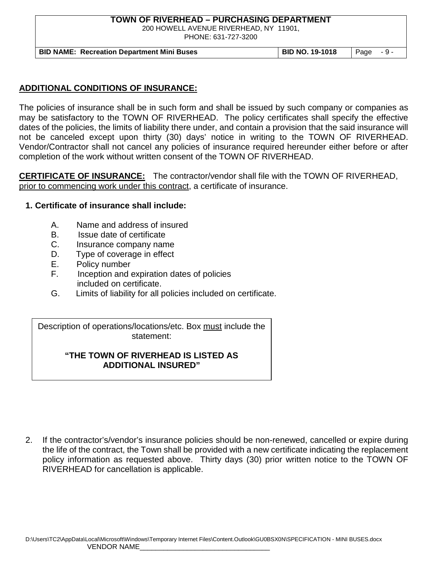200 HOWELL AVENUE RIVERHEAD, NY 11901,

PHONE: 631-727-3200

**BID NAME: Recreation Department Mini Buses | BID NO. 19-1018 | Page - 9 -**

### **ADDITIONAL CONDITIONS OF INSURANCE:**

The policies of insurance shall be in such form and shall be issued by such company or companies as may be satisfactory to the TOWN OF RIVERHEAD. The policy certificates shall specify the effective dates of the policies, the limits of liability there under, and contain a provision that the said insurance will not be canceled except upon thirty (30) days' notice in writing to the TOWN OF RIVERHEAD. Vendor/Contractor shall not cancel any policies of insurance required hereunder either before or after completion of the work without written consent of the TOWN OF RIVERHEAD.

**CERTIFICATE OF INSURANCE:** The contractor/vendor shall file with the TOWN OF RIVERHEAD, prior to commencing work under this contract, a certificate of insurance.

#### **1. Certificate of insurance shall include:**

- A. Name and address of insured
- B. Issue date of certificate
- C. Insurance company name
- D. Type of coverage in effect
- E. Policy number
- F. Inception and expiration dates of policies included on certificate.
- G. Limits of liability for all policies included on certificate.

Description of operations/locations/etc. Box must include the statement:

### **"THE TOWN OF RIVERHEAD IS LISTED AS ADDITIONAL INSURED"**

2. If the contractor's/vendor's insurance policies should be non-renewed, cancelled or expire during the life of the contract, the Town shall be provided with a new certificate indicating the replacement policy information as requested above. Thirty days (30) prior written notice to the TOWN OF RIVERHEAD for cancellation is applicable.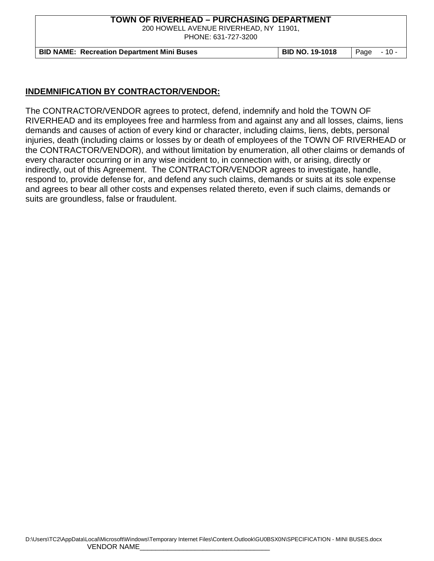200 HOWELL AVENUE RIVERHEAD, NY 11901,

PHONE: 631-727-3200

**BID NAME: Recreation Department Mini Buses BID NO. 19-1018** Page - 10 -

#### **INDEMNIFICATION BY CONTRACTOR/VENDOR:**

The CONTRACTOR/VENDOR agrees to protect, defend, indemnify and hold the TOWN OF RIVERHEAD and its employees free and harmless from and against any and all losses, claims, liens demands and causes of action of every kind or character, including claims, liens, debts, personal injuries, death (including claims or losses by or death of employees of the TOWN OF RIVERHEAD or the CONTRACTOR/VENDOR), and without limitation by enumeration, all other claims or demands of every character occurring or in any wise incident to, in connection with, or arising, directly or indirectly, out of this Agreement. The CONTRACTOR/VENDOR agrees to investigate, handle, respond to, provide defense for, and defend any such claims, demands or suits at its sole expense and agrees to bear all other costs and expenses related thereto, even if such claims, demands or suits are groundless, false or fraudulent.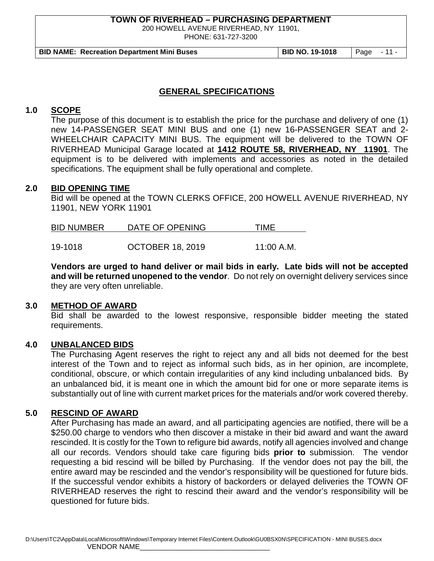200 HOWELL AVENUE RIVERHEAD, NY 11901,

PHONE: 631-727-3200

**BID NAME: Recreation Department Mini Buses BID NO. 19-1018** Page - 11 -

#### **GENERAL SPECIFICATIONS**

### **1.0 SCOPE**

The purpose of this document is to establish the price for the purchase and delivery of one (1) new 14-PASSENGER SEAT MINI BUS and one (1) new 16-PASSENGER SEAT and 2- WHEELCHAIR CAPACITY MINI BUS. The equipment will be delivered to the TOWN OF RIVERHEAD Municipal Garage located at **1412 ROUTE 58, RIVERHEAD, NY 11901**. The equipment is to be delivered with implements and accessories as noted in the detailed specifications. The equipment shall be fully operational and complete.

#### **2.0 BID OPENING TIME**

Bid will be opened at the TOWN CLERKS OFFICE, 200 HOWELL AVENUE RIVERHEAD, NY 11901, NEW YORK 11901

| <b>BID NUMBER</b> | DATE OF OPENING | 'IME |
|-------------------|-----------------|------|
|                   |                 |      |

19-1018 OCTOBER 18, 2019 11:00 A.M.

**Vendors are urged to hand deliver or mail bids in early. Late bids will not be accepted and will be returned unopened to the vendor**. Do not rely on overnight delivery services since they are very often unreliable.

#### **3.0 METHOD OF AWARD**

Bid shall be awarded to the lowest responsive, responsible bidder meeting the stated requirements.

#### **4.0 UNBALANCED BIDS**

The Purchasing Agent reserves the right to reject any and all bids not deemed for the best interest of the Town and to reject as informal such bids, as in her opinion, are incomplete, conditional, obscure, or which contain irregularities of any kind including unbalanced bids. By an unbalanced bid, it is meant one in which the amount bid for one or more separate items is substantially out of line with current market prices for the materials and/or work covered thereby.

#### **5.0 RESCIND OF AWARD**

After Purchasing has made an award, and all participating agencies are notified, there will be a \$250.00 charge to vendors who then discover a mistake in their bid award and want the award rescinded. It is costly for the Town to refigure bid awards, notify all agencies involved and change all our records. Vendors should take care figuring bids **prior to** submission. The vendor requesting a bid rescind will be billed by Purchasing. If the vendor does not pay the bill, the entire award may be rescinded and the vendor's responsibility will be questioned for future bids. If the successful vendor exhibits a history of backorders or delayed deliveries the TOWN OF RIVERHEAD reserves the right to rescind their award and the vendor's responsibility will be questioned for future bids.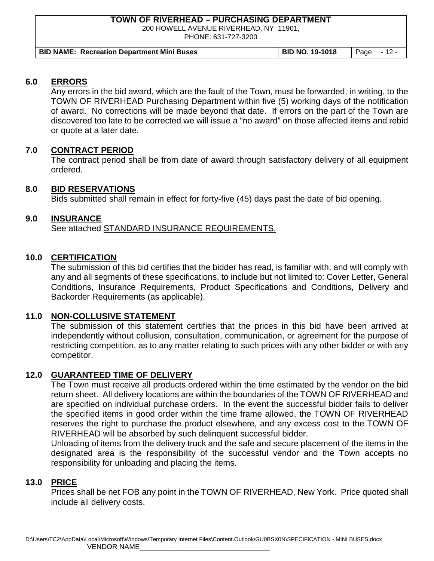200 HOWELL AVENUE RIVERHEAD, NY 11901,

PHONE: 631-727-3200

| <b>BID NAME: Recreation Department Mini Buses</b> | <b>BID NO. 19-1018</b> | $\vert$ Page $\vert$ - 12 - |  |
|---------------------------------------------------|------------------------|-----------------------------|--|

## **6.0 ERRORS**

Any errors in the bid award, which are the fault of the Town, must be forwarded, in writing, to the TOWN OF RIVERHEAD Purchasing Department within five (5) working days of the notification of award. No corrections will be made beyond that date. If errors on the part of the Town are discovered too late to be corrected we will issue a "no award" on those affected items and rebid or quote at a later date.

## **7.0 CONTRACT PERIOD**

The contract period shall be from date of award through satisfactory delivery of all equipment ordered.

## **8.0 BID RESERVATIONS**

Bids submitted shall remain in effect for forty-five (45) days past the date of bid opening.

## **9.0 INSURANCE**

See attached STANDARD INSURANCE REQUIREMENTS.

## **10.0 CERTIFICATION**

The submission of this bid certifies that the bidder has read, is familiar with, and will comply with any and all segments of these specifications, to include but not limited to: Cover Letter, General Conditions, Insurance Requirements, Product Specifications and Conditions, Delivery and Backorder Requirements (as applicable).

#### **11.0 NON-COLLUSIVE STATEMENT**

The submission of this statement certifies that the prices in this bid have been arrived at independently without collusion, consultation, communication, or agreement for the purpose of restricting competition, as to any matter relating to such prices with any other bidder or with any competitor.

#### **12.0 GUARANTEED TIME OF DELIVERY**

The Town must receive all products ordered within the time estimated by the vendor on the bid return sheet. All delivery locations are within the boundaries of the TOWN OF RIVERHEAD and are specified on individual purchase orders. In the event the successful bidder fails to deliver the specified items in good order within the time frame allowed, the TOWN OF RIVERHEAD reserves the right to purchase the product elsewhere, and any excess cost to the TOWN OF RIVERHEAD will be absorbed by such delinquent successful bidder.

Unloading of items from the delivery truck and the safe and secure placement of the items in the designated area is the responsibility of the successful vendor and the Town accepts no responsibility for unloading and placing the items.

#### **13.0 PRICE**

Prices shall be net FOB any point in the TOWN OF RIVERHEAD, New York. Price quoted shall include all delivery costs.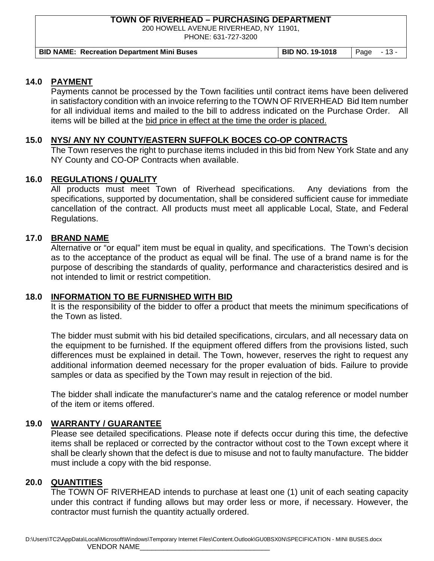200 HOWELL AVENUE RIVERHEAD, NY 11901,

PHONE: 631-727-3200

| <b>BID NAME: Recreation Department Mini Buses</b> | <b>BID NO. 19-1018</b><br>$\vert$ Page $-13$ - |
|---------------------------------------------------|------------------------------------------------|
|---------------------------------------------------|------------------------------------------------|

### **14.0 PAYMENT**

Payments cannot be processed by the Town facilities until contract items have been delivered in satisfactory condition with an invoice referring to the TOWN OF RIVERHEAD Bid Item number for all individual items and mailed to the bill to address indicated on the Purchase Order. All items will be billed at the bid price in effect at the time the order is placed.

## **15.0 NYS/ ANY NY COUNTY/EASTERN SUFFOLK BOCES CO-OP CONTRACTS**

The Town reserves the right to purchase items included in this bid from New York State and any NY County and CO-OP Contracts when available.

## **16.0 REGULATIONS / QUALITY**

All products must meet Town of Riverhead specifications. Any deviations from the specifications, supported by documentation, shall be considered sufficient cause for immediate cancellation of the contract. All products must meet all applicable Local, State, and Federal Regulations.

#### **17.0 BRAND NAME**

Alternative or "or equal" item must be equal in quality, and specifications. The Town's decision as to the acceptance of the product as equal will be final. The use of a brand name is for the purpose of describing the standards of quality, performance and characteristics desired and is not intended to limit or restrict competition.

#### **18.0 INFORMATION TO BE FURNISHED WITH BID**

It is the responsibility of the bidder to offer a product that meets the minimum specifications of the Town as listed.

The bidder must submit with his bid detailed specifications, circulars, and all necessary data on the equipment to be furnished. If the equipment offered differs from the provisions listed, such differences must be explained in detail. The Town, however, reserves the right to request any additional information deemed necessary for the proper evaluation of bids. Failure to provide samples or data as specified by the Town may result in rejection of the bid.

The bidder shall indicate the manufacturer's name and the catalog reference or model number of the item or items offered.

# **19.0 WARRANTY / GUARANTEE**

Please see detailed specifications. Please note if defects occur during this time, the defective items shall be replaced or corrected by the contractor without cost to the Town except where it shall be clearly shown that the defect is due to misuse and not to faulty manufacture. The bidder must include a copy with the bid response.

### **20.0 QUANTITIES**

The TOWN OF RIVERHEAD intends to purchase at least one (1) unit of each seating capacity under this contract if funding allows but may order less or more, if necessary. However, the contractor must furnish the quantity actually ordered.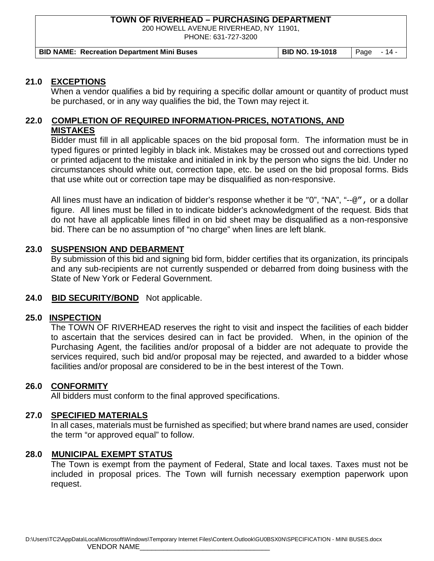200 HOWELL AVENUE RIVERHEAD, NY 11901,

PHONE: 631-727-3200

| <b>BID NAME: Recreation Department Mini Buses</b> | BID NO. 19-1018   Page - 14 - |  |
|---------------------------------------------------|-------------------------------|--|
|---------------------------------------------------|-------------------------------|--|

#### **21.0 EXCEPTIONS**

When a vendor qualifies a bid by requiring a specific dollar amount or quantity of product must be purchased, or in any way qualifies the bid, the Town may reject it.

#### **22.0 COMPLETION OF REQUIRED INFORMATION-PRICES, NOTATIONS, AND MISTAKES**

Bidder must fill in all applicable spaces on the bid proposal form. The information must be in typed figures or printed legibly in black ink. Mistakes may be crossed out and corrections typed or printed adjacent to the mistake and initialed in ink by the person who signs the bid. Under no circumstances should white out, correction tape, etc. be used on the bid proposal forms. Bids that use white out or correction tape may be disqualified as non-responsive.

All lines must have an indication of bidder's response whether it be "0", "NA", "--@", or a dollar figure. All lines must be filled in to indicate bidder's acknowledgment of the request. Bids that do not have all applicable lines filled in on bid sheet may be disqualified as a non-responsive bid. There can be no assumption of "no charge" when lines are left blank.

#### **23.0 SUSPENSION AND DEBARMENT**

By submission of this bid and signing bid form, bidder certifies that its organization, its principals and any sub-recipients are not currently suspended or debarred from doing business with the State of New York or Federal Government.

#### **24.0 BID SECURITY/BOND** Not applicable.

#### **25.0 INSPECTION**

The TOWN OF RIVERHEAD reserves the right to visit and inspect the facilities of each bidder to ascertain that the services desired can in fact be provided. When, in the opinion of the Purchasing Agent, the facilities and/or proposal of a bidder are not adequate to provide the services required, such bid and/or proposal may be rejected, and awarded to a bidder whose facilities and/or proposal are considered to be in the best interest of the Town.

#### **26.0 CONFORMITY**

All bidders must conform to the final approved specifications.

#### **27.0 SPECIFIED MATERIALS**

In all cases, materials must be furnished as specified; but where brand names are used, consider the term "or approved equal" to follow.

#### **28.0 MUNICIPAL EXEMPT STATUS**

The Town is exempt from the payment of Federal, State and local taxes. Taxes must not be included in proposal prices. The Town will furnish necessary exemption paperwork upon request.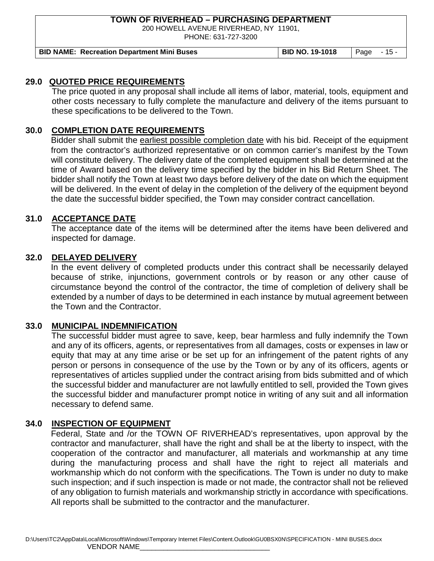200 HOWELL AVENUE RIVERHEAD, NY 11901,

PHONE: 631-727-3200

**BID NAME: Recreation Department Mini Buses BID NO. 19-1018** Page - 15 -

#### **29.0 QUOTED PRICE REQUIREMENTS**

The price quoted in any proposal shall include all items of labor, material, tools, equipment and other costs necessary to fully complete the manufacture and delivery of the items pursuant to these specifications to be delivered to the Town.

## **30.0 COMPLETION DATE REQUIREMENTS**

Bidder shall submit the earliest possible completion date with his bid. Receipt of the equipment from the contractor's authorized representative or on common carrier's manifest by the Town will constitute delivery. The delivery date of the completed equipment shall be determined at the time of Award based on the delivery time specified by the bidder in his Bid Return Sheet. The bidder shall notify the Town at least two days before delivery of the date on which the equipment will be delivered. In the event of delay in the completion of the delivery of the equipment beyond the date the successful bidder specified, the Town may consider contract cancellation.

#### **31.0 ACCEPTANCE DATE**

The acceptance date of the items will be determined after the items have been delivered and inspected for damage.

#### **32.0 DELAYED DELIVERY**

In the event delivery of completed products under this contract shall be necessarily delayed because of strike, injunctions, government controls or by reason or any other cause of circumstance beyond the control of the contractor, the time of completion of delivery shall be extended by a number of days to be determined in each instance by mutual agreement between the Town and the Contractor.

#### **33.0 MUNICIPAL INDEMNIFICATION**

The successful bidder must agree to save, keep, bear harmless and fully indemnify the Town and any of its officers, agents, or representatives from all damages, costs or expenses in law or equity that may at any time arise or be set up for an infringement of the patent rights of any person or persons in consequence of the use by the Town or by any of its officers, agents or representatives of articles supplied under the contract arising from bids submitted and of which the successful bidder and manufacturer are not lawfully entitled to sell, provided the Town gives the successful bidder and manufacturer prompt notice in writing of any suit and all information necessary to defend same.

#### **34.0 INSPECTION OF EQUIPMENT**

Federal, State and /or the TOWN OF RIVERHEAD's representatives, upon approval by the contractor and manufacturer, shall have the right and shall be at the liberty to inspect, with the cooperation of the contractor and manufacturer, all materials and workmanship at any time during the manufacturing process and shall have the right to reject all materials and workmanship which do not conform with the specifications. The Town is under no duty to make such inspection; and if such inspection is made or not made, the contractor shall not be relieved of any obligation to furnish materials and workmanship strictly in accordance with specifications. All reports shall be submitted to the contractor and the manufacturer.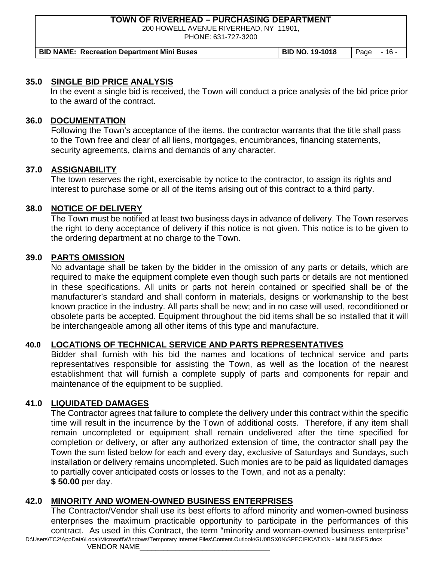200 HOWELL AVENUE RIVERHEAD, NY 11901,

PHONE: 631-727-3200

| <b>BID NAME: Recreation Department Mini Buses</b> | <b>BID NO. 19-1018</b> | Page $-16$ - |
|---------------------------------------------------|------------------------|--------------|
|---------------------------------------------------|------------------------|--------------|

#### **35.0 SINGLE BID PRICE ANALYSIS**

In the event a single bid is received, the Town will conduct a price analysis of the bid price prior to the award of the contract.

#### **36.0 DOCUMENTATION**

Following the Town's acceptance of the items, the contractor warrants that the title shall pass to the Town free and clear of all liens, mortgages, encumbrances, financing statements, security agreements, claims and demands of any character.

#### **37.0 ASSIGNABILITY**

The town reserves the right, exercisable by notice to the contractor, to assign its rights and interest to purchase some or all of the items arising out of this contract to a third party.

#### **38.0 NOTICE OF DELIVERY**

The Town must be notified at least two business days in advance of delivery. The Town reserves the right to deny acceptance of delivery if this notice is not given. This notice is to be given to the ordering department at no charge to the Town.

#### **39.0 PARTS OMISSION**

No advantage shall be taken by the bidder in the omission of any parts or details, which are required to make the equipment complete even though such parts or details are not mentioned in these specifications. All units or parts not herein contained or specified shall be of the manufacturer's standard and shall conform in materials, designs or workmanship to the best known practice in the industry. All parts shall be new; and in no case will used, reconditioned or obsolete parts be accepted. Equipment throughout the bid items shall be so installed that it will be interchangeable among all other items of this type and manufacture.

#### **40.0 LOCATIONS OF TECHNICAL SERVICE AND PARTS REPRESENTATIVES**

Bidder shall furnish with his bid the names and locations of technical service and parts representatives responsible for assisting the Town, as well as the location of the nearest establishment that will furnish a complete supply of parts and components for repair and maintenance of the equipment to be supplied.

#### **41.0 LIQUIDATED DAMAGES**

The Contractor agrees that failure to complete the delivery under this contract within the specific time will result in the incurrence by the Town of additional costs. Therefore, if any item shall remain uncompleted or equipment shall remain undelivered after the time specified for completion or delivery, or after any authorized extension of time, the contractor shall pay the Town the sum listed below for each and every day, exclusive of Saturdays and Sundays, such installation or delivery remains uncompleted. Such monies are to be paid as liquidated damages to partially cover anticipated costs or losses to the Town, and not as a penalty: **\$ 50.00** per day.

#### **42.0 MINORITY AND WOMEN-OWNED BUSINESS ENTERPRISES**

D:\Users\TC2\AppData\Local\Microsoft\Windows\Temporary Internet Files\Content.Outlook\GU0BSX0N\SPECIFICATION - MINI BUSES.docx The Contractor/Vendor shall use its best efforts to afford minority and women-owned business enterprises the maximum practicable opportunity to participate in the performances of this contract. As used in this Contract, the term "minority and woman-owned business enterprise"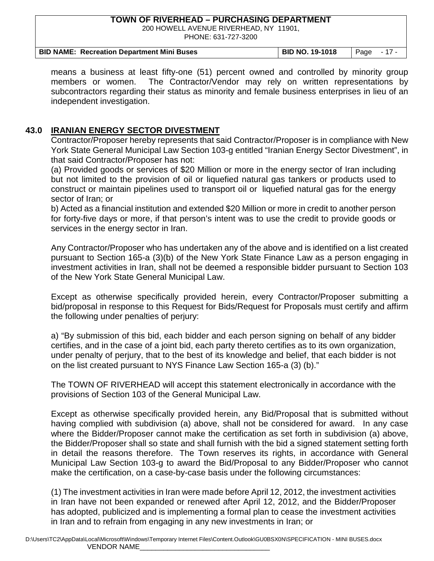200 HOWELL AVENUE RIVERHEAD, NY 11901, PHONE: 631-727-3200

| <b>BID NAME: Recreation Department Mini Buses</b> | <b>BID NO. 19-1018</b> | Page - 17 - |
|---------------------------------------------------|------------------------|-------------|

means a business at least fifty-one (51) percent owned and controlled by minority group members or women. The Contractor/Vendor may rely on written representations by subcontractors regarding their status as minority and female business enterprises in lieu of an independent investigation.

## **43.0 IRANIAN ENERGY SECTOR DIVESTMENT**

Contractor/Proposer hereby represents that said Contractor/Proposer is in compliance with New York State General Municipal Law Section 103-g entitled "Iranian Energy Sector Divestment", in that said Contractor/Proposer has not:

(a) Provided goods or services of \$20 Million or more in the energy sector of Iran including but not limited to the provision of oil or liquefied natural gas tankers or products used to construct or maintain pipelines used to transport oil or liquefied natural gas for the energy sector of Iran; or

b) Acted as a financial institution and extended \$20 Million or more in credit to another person for forty-five days or more, if that person's intent was to use the credit to provide goods or services in the energy sector in Iran.

Any Contractor/Proposer who has undertaken any of the above and is identified on a list created pursuant to Section 165-a (3)(b) of the New York State Finance Law as a person engaging in investment activities in Iran, shall not be deemed a responsible bidder pursuant to Section 103 of the New York State General Municipal Law.

Except as otherwise specifically provided herein, every Contractor/Proposer submitting a bid/proposal in response to this Request for Bids/Request for Proposals must certify and affirm the following under penalties of perjury:

a) "By submission of this bid, each bidder and each person signing on behalf of any bidder certifies, and in the case of a joint bid, each party thereto certifies as to its own organization, under penalty of perjury, that to the best of its knowledge and belief, that each bidder is not on the list created pursuant to NYS Finance Law Section 165-a (3) (b)."

The TOWN OF RIVERHEAD will accept this statement electronically in accordance with the provisions of Section 103 of the General Municipal Law.

Except as otherwise specifically provided herein, any Bid/Proposal that is submitted without having complied with subdivision (a) above, shall not be considered for award. In any case where the Bidder/Proposer cannot make the certification as set forth in subdivision (a) above, the Bidder/Proposer shall so state and shall furnish with the bid a signed statement setting forth in detail the reasons therefore. The Town reserves its rights, in accordance with General Municipal Law Section 103-g to award the Bid/Proposal to any Bidder/Proposer who cannot make the certification, on a case-by-case basis under the following circumstances:

(1) The investment activities in Iran were made before April 12, 2012, the investment activities in Iran have not been expanded or renewed after April 12, 2012, and the Bidder/Proposer has adopted, publicized and is implementing a formal plan to cease the investment activities in Iran and to refrain from engaging in any new investments in Iran; or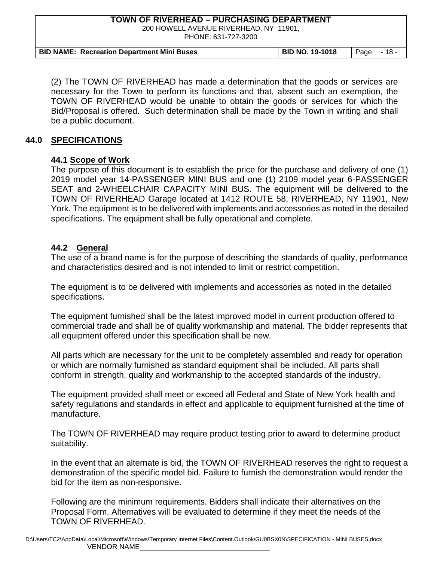200 HOWELL AVENUE RIVERHEAD, NY 11901,

PHONE: 631-727-3200

| <b>BID NAME: Recreation Department Mini Buses</b> | BID NO. 19-1018 | $\degree$   Page - 18 - |
|---------------------------------------------------|-----------------|-------------------------|

(2) The TOWN OF RIVERHEAD has made a determination that the goods or services are necessary for the Town to perform its functions and that, absent such an exemption, the TOWN OF RIVERHEAD would be unable to obtain the goods or services for which the Bid/Proposal is offered. Such determination shall be made by the Town in writing and shall be a public document.

#### **44.0 SPECIFICATIONS**

#### **44.1 Scope of Work**

The purpose of this document is to establish the price for the purchase and delivery of one (1) 2019 model year 14-PASSENGER MINI BUS and one (1) 2109 model year 6-PASSENGER SEAT and 2-WHEELCHAIR CAPACITY MINI BUS. The equipment will be delivered to the TOWN OF RIVERHEAD Garage located at 1412 ROUTE 58, RIVERHEAD, NY 11901, New York. The equipment is to be delivered with implements and accessories as noted in the detailed specifications. The equipment shall be fully operational and complete.

#### **44.2 General**

The use of a brand name is for the purpose of describing the standards of quality, performance and characteristics desired and is not intended to limit or restrict competition.

The equipment is to be delivered with implements and accessories as noted in the detailed specifications.

The equipment furnished shall be the latest improved model in current production offered to commercial trade and shall be of quality workmanship and material. The bidder represents that all equipment offered under this specification shall be new.

All parts which are necessary for the unit to be completely assembled and ready for operation or which are normally furnished as standard equipment shall be included. All parts shall conform in strength, quality and workmanship to the accepted standards of the industry.

The equipment provided shall meet or exceed all Federal and State of New York health and safety regulations and standards in effect and applicable to equipment furnished at the time of manufacture.

The TOWN OF RIVERHEAD may require product testing prior to award to determine product suitability.

In the event that an alternate is bid, the TOWN OF RIVERHEAD reserves the right to request a demonstration of the specific model bid. Failure to furnish the demonstration would render the bid for the item as non-responsive.

Following are the minimum requirements. Bidders shall indicate their alternatives on the Proposal Form. Alternatives will be evaluated to determine if they meet the needs of the TOWN OF RIVERHEAD.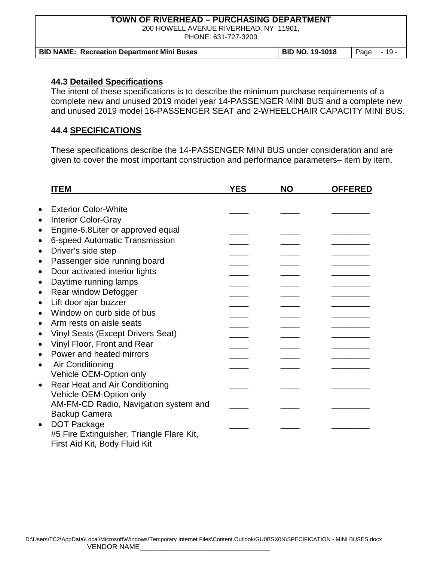200 HOWELL AVENUE RIVERHEAD, NY 11901,

PHONE: 631-727-3200

| <b>BID NAME: Recreation Department Mini Buses</b> | BID NO. 19-1018 | $\degree$   Page - 19 - |
|---------------------------------------------------|-----------------|-------------------------|

#### **44.3 Detailed Specifications**

The intent of these specifications is to describe the minimum purchase requirements of a complete new and unused 2019 model year 14-PASSENGER MINI BUS and a complete new and unused 2019 model 16-PASSENGER SEAT and 2-WHEELCHAIR CAPACITY MINI BUS.

### **44.4 SPECIFICATIONS**

These specifications describe the 14-PASSENGER MINI BUS under consideration and are given to cover the most important construction and performance parameters– item by item.

| <b>ITEM</b>                                           | <b>YES</b> | <b>NO</b> | <b>OFFERED</b> |
|-------------------------------------------------------|------------|-----------|----------------|
|                                                       |            |           |                |
| <b>Exterior Color-White</b><br>$\bullet$              |            |           |                |
| <b>Interior Color-Gray</b><br>$\bullet$               |            |           |                |
| Engine-6.8Liter or approved equal<br>$\bullet$        |            |           |                |
| 6-speed Automatic Transmission<br>$\bullet$           |            |           |                |
| Driver's side step<br>$\bullet$                       |            |           |                |
| Passenger side running board<br>$\bullet$             |            |           |                |
| Door activated interior lights<br>$\bullet$           |            |           |                |
| Daytime running lamps<br>$\bullet$                    |            |           |                |
| Rear window Defogger<br>$\bullet$                     |            |           |                |
| Lift door ajar buzzer<br>$\bullet$                    |            |           |                |
| Window on curb side of bus<br>$\bullet$               |            |           |                |
| Arm rests on aisle seats<br>$\bullet$                 |            |           |                |
| <b>Vinyl Seats (Except Drivers Seat)</b><br>$\bullet$ |            |           |                |
| Vinyl Floor, Front and Rear<br>$\bullet$              |            |           |                |
| Power and heated mirrors                              |            |           |                |
| Air Conditioning<br>$\bullet$                         |            |           |                |
| Vehicle OEM-Option only                               |            |           |                |
| <b>Rear Heat and Air Conditioning</b><br>$\bullet$    |            |           |                |
| Vehicle OEM-Option only                               |            |           |                |
| AM-FM-CD Radio, Navigation system and                 |            |           |                |
| <b>Backup Camera</b>                                  |            |           |                |
| <b>DOT Package</b><br>$\bullet$                       |            |           |                |
| #5 Fire Extinguisher, Triangle Flare Kit,             |            |           |                |
| First Aid Kit, Body Fluid Kit                         |            |           |                |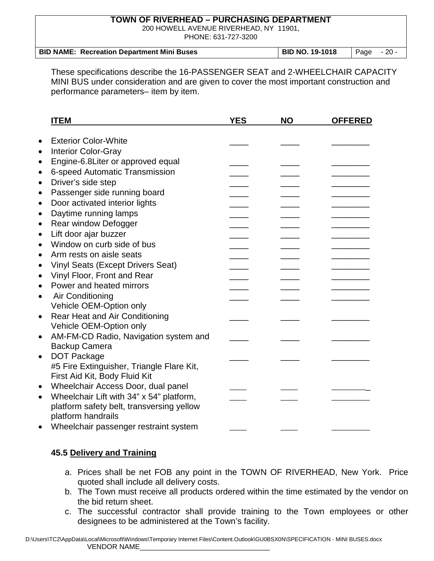200 HOWELL AVENUE RIVERHEAD, NY 11901, PHONE: 631-727-3200

| <b>BID NAME: Recreation Department Mini Buses</b> | <b>BID NO. 19-1018</b> | $\vert$ Page $\vert$ - 20 - |  |
|---------------------------------------------------|------------------------|-----------------------------|--|

These specifications describe the 16-PASSENGER SEAT and 2-WHEELCHAIR CAPACITY MINI BUS under consideration and are given to cover the most important construction and performance parameters– item by item.

|           | <b>ITEM</b>                               | <b>YES</b> | <b>NO</b> | <b>OFFERED</b> |
|-----------|-------------------------------------------|------------|-----------|----------------|
|           |                                           |            |           |                |
| $\bullet$ | <b>Exterior Color-White</b>               |            |           |                |
| $\bullet$ | <b>Interior Color-Gray</b>                |            |           |                |
| $\bullet$ | Engine-6.8Liter or approved equal         |            |           |                |
| $\bullet$ | 6-speed Automatic Transmission            |            |           |                |
| $\bullet$ | Driver's side step                        |            |           |                |
| $\bullet$ | Passenger side running board              |            |           |                |
| $\bullet$ | Door activated interior lights            |            |           |                |
| $\bullet$ | Daytime running lamps                     |            |           |                |
| $\bullet$ | Rear window Defogger                      |            |           |                |
| $\bullet$ | Lift door ajar buzzer                     |            |           |                |
| $\bullet$ | Window on curb side of bus                |            |           |                |
| $\bullet$ | Arm rests on aisle seats                  |            |           |                |
| $\bullet$ | <b>Vinyl Seats (Except Drivers Seat)</b>  |            |           |                |
| $\bullet$ | Vinyl Floor, Front and Rear               |            |           |                |
| $\bullet$ | Power and heated mirrors                  |            |           |                |
| $\bullet$ | Air Conditioning                          |            |           |                |
|           | Vehicle OEM-Option only                   |            |           |                |
| $\bullet$ | <b>Rear Heat and Air Conditioning</b>     |            |           |                |
|           | Vehicle OEM-Option only                   |            |           |                |
| $\bullet$ | AM-FM-CD Radio, Navigation system and     |            |           |                |
|           | <b>Backup Camera</b>                      |            |           |                |
| $\bullet$ | <b>DOT Package</b>                        |            |           |                |
|           | #5 Fire Extinguisher, Triangle Flare Kit, |            |           |                |
|           | First Aid Kit, Body Fluid Kit             |            |           |                |
| $\bullet$ | Wheelchair Access Door, dual panel        |            |           |                |
| $\bullet$ | Wheelchair Lift with 34" x 54" platform,  |            |           |                |
|           | platform safety belt, transversing yellow |            |           |                |
|           | platform handrails                        |            |           |                |
| $\bullet$ | Wheelchair passenger restraint system     |            |           |                |

#### **45.5 Delivery and Training**

- a. Prices shall be net FOB any point in the TOWN OF RIVERHEAD, New York. Price quoted shall include all delivery costs.
- b. The Town must receive all products ordered within the time estimated by the vendor on the bid return sheet.
- c. The successful contractor shall provide training to the Town employees or other designees to be administered at the Town's facility.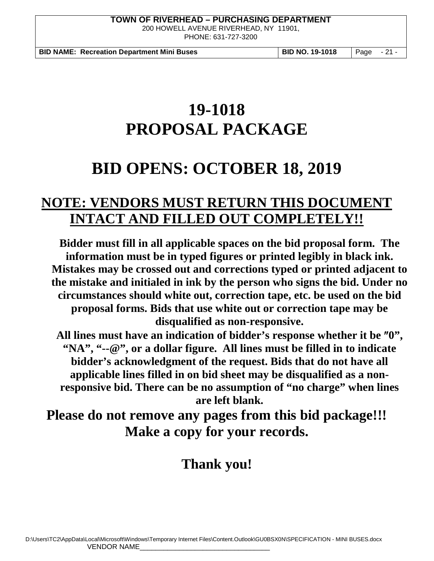200 HOWELL AVENUE RIVERHEAD, NY 11901, PHONE: 631-727-3200

**BID NAME: Recreation Department Mini Buses BID NO. 19-1018** Page - 21 -

# **19-1018 PROPOSAL PACKAGE**

# **BID OPENS: OCTOBER 18, 2019**

# **NOTE: VENDORS MUST RETURN THIS DOCUMENT INTACT AND FILLED OUT COMPLETELY!!**

**Bidder must fill in all applicable spaces on the bid proposal form. The information must be in typed figures or printed legibly in black ink. Mistakes may be crossed out and corrections typed or printed adjacent to the mistake and initialed in ink by the person who signs the bid. Under no circumstances should white out, correction tape, etc. be used on the bid proposal forms. Bids that use white out or correction tape may be disqualified as non-responsive.**

**All lines must have an indication of bidder's response whether it be** ″**0", "NA", "--@", or a dollar figure. All lines must be filled in to indicate bidder's acknowledgment of the request. Bids that do not have all applicable lines filled in on bid sheet may be disqualified as a nonresponsive bid. There can be no assumption of "no charge" when lines are left blank.**

**Please do not remove any pages from this bid package!!! Make a copy for your records.** 

# **Thank you!**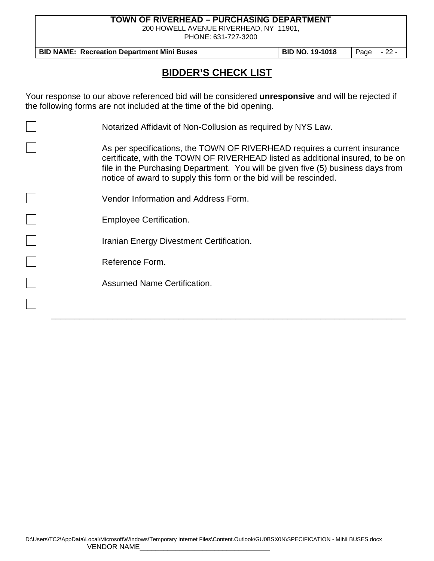200 HOWELL AVENUE RIVERHEAD, NY 11901,

PHONE: 631-727-3200

**BID NAME: Recreation Department Mini Buses | BID NO. 19-1018 | Page - 22 -**

# **BIDDER'S CHECK LIST**

Your response to our above referenced bid will be considered **unresponsive** and will be rejected if the following forms are not included at the time of the bid opening.

| Notarized Affidavit of Non-Collusion as required by NYS Law.                                                                                                                                                                                                                                                         |
|----------------------------------------------------------------------------------------------------------------------------------------------------------------------------------------------------------------------------------------------------------------------------------------------------------------------|
| As per specifications, the TOWN OF RIVERHEAD requires a current insurance<br>certificate, with the TOWN OF RIVERHEAD listed as additional insured, to be on<br>file in the Purchasing Department. You will be given five (5) business days from<br>notice of award to supply this form or the bid will be rescinded. |
| Vendor Information and Address Form.                                                                                                                                                                                                                                                                                 |
| <b>Employee Certification.</b>                                                                                                                                                                                                                                                                                       |
| Iranian Energy Divestment Certification.                                                                                                                                                                                                                                                                             |
| Reference Form.                                                                                                                                                                                                                                                                                                      |
| <b>Assumed Name Certification.</b>                                                                                                                                                                                                                                                                                   |
|                                                                                                                                                                                                                                                                                                                      |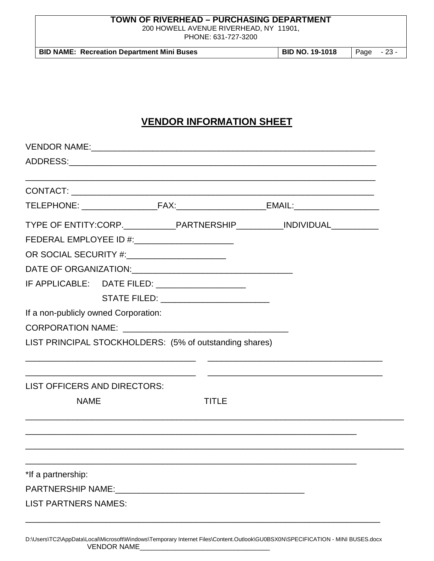200 HOWELL AVENUE RIVERHEAD, NY 11901,

PHONE: 631-727-3200

| <b>BID NO. 19-1018</b><br><b>BID NAME: Recreation Department Mini Buses</b><br>Page - 23 - |  |
|--------------------------------------------------------------------------------------------|--|
|--------------------------------------------------------------------------------------------|--|

# **VENDOR INFORMATION SHEET**

|                                      |                                                  |                                                         | TYPE OF ENTITY:CORP._____________PARTNERSHIP___________INDIVIDUAL____________ |  |
|--------------------------------------|--------------------------------------------------|---------------------------------------------------------|-------------------------------------------------------------------------------|--|
|                                      | FEDERAL EMPLOYEE ID #: _________________________ |                                                         |                                                                               |  |
|                                      | OR SOCIAL SECURITY #:__________________________  |                                                         |                                                                               |  |
|                                      |                                                  |                                                         |                                                                               |  |
|                                      |                                                  | IF APPLICABLE: DATE FILED: ___________________          |                                                                               |  |
|                                      |                                                  | STATE FILED: ____________________________               |                                                                               |  |
| If a non-publicly owned Corporation: |                                                  |                                                         |                                                                               |  |
|                                      |                                                  |                                                         |                                                                               |  |
|                                      |                                                  | LIST PRINCIPAL STOCKHOLDERS: (5% of outstanding shares) |                                                                               |  |
| <b>LIST OFFICERS AND DIRECTORS:</b>  |                                                  |                                                         | <u> 1989 - Johann Stoff, amerikansk politiker (d. 1989)</u>                   |  |
| <b>NAME</b>                          |                                                  | <b>TITLE</b>                                            |                                                                               |  |
|                                      |                                                  |                                                         |                                                                               |  |
|                                      |                                                  |                                                         |                                                                               |  |
|                                      |                                                  |                                                         |                                                                               |  |
|                                      |                                                  |                                                         |                                                                               |  |
| *If a partnership:                   |                                                  |                                                         |                                                                               |  |
|                                      |                                                  |                                                         |                                                                               |  |
| <b>LIST PARTNERS NAMES:</b>          |                                                  |                                                         |                                                                               |  |
|                                      |                                                  |                                                         |                                                                               |  |

D:\Users\TC2\AppData\Local\Microsoft\Windows\Temporary Internet Files\Content.Outlook\GU0BSX0N\SPECIFICATION - MINI BUSES.docx VENDOR NAME\_\_\_\_\_\_\_\_\_\_\_\_\_\_\_\_\_\_\_\_\_\_\_\_\_\_\_\_\_\_\_\_\_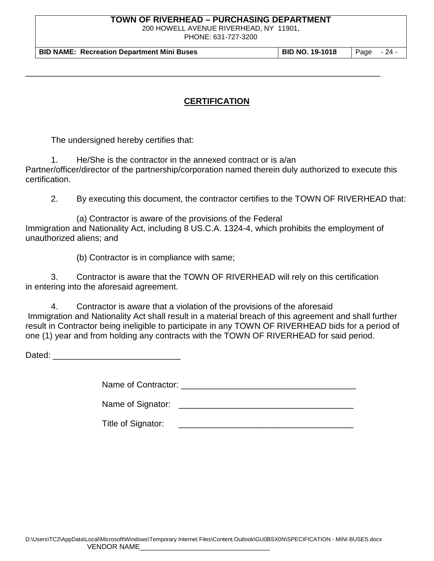200 HOWELL AVENUE RIVERHEAD, NY 11901,

PHONE: 631-727-3200

**BID NAME: Recreation Department Mini Buses BID NO. 19-1018** Page - 24 -

## **CERTIFICATION**

\_\_\_\_\_\_\_\_\_\_\_\_\_\_\_\_\_\_\_\_\_\_\_\_\_\_\_\_\_\_\_\_\_\_\_\_\_\_\_\_\_\_\_\_\_\_\_\_\_\_\_\_\_\_\_\_\_\_\_\_\_\_\_\_\_\_\_\_\_\_\_\_\_\_\_

The undersigned hereby certifies that:

1. He/She is the contractor in the annexed contract or is a/an Partner/officer/director of the partnership/corporation named therein duly authorized to execute this certification.

2. By executing this document, the contractor certifies to the TOWN OF RIVERHEAD that:

(a) Contractor is aware of the provisions of the Federal Immigration and Nationality Act, including 8 US.C.A. 1324-4, which prohibits the employment of unauthorized aliens; and

(b) Contractor is in compliance with same;

3. Contractor is aware that the TOWN OF RIVERHEAD will rely on this certification in entering into the aforesaid agreement.

4. Contractor is aware that a violation of the provisions of the aforesaid Immigration and Nationality Act shall result in a material breach of this agreement and shall further result in Contractor being ineligible to participate in any TOWN OF RIVERHEAD bids for a period of one (1) year and from holding any contracts with the TOWN OF RIVERHEAD for said period.

Dated: \_\_\_\_\_\_\_\_\_\_\_\_\_\_\_\_\_\_\_\_\_\_\_\_\_\_\_

Name of Contractor: \_\_\_\_\_\_\_\_\_\_\_\_\_\_\_\_\_\_\_\_\_\_\_\_\_\_\_\_\_\_\_\_\_\_\_\_\_

Name of Signator: \_\_\_\_\_\_\_\_\_\_\_\_\_\_\_\_\_\_\_\_\_\_\_\_\_\_\_\_\_\_\_\_\_\_\_\_\_

Title of Signator: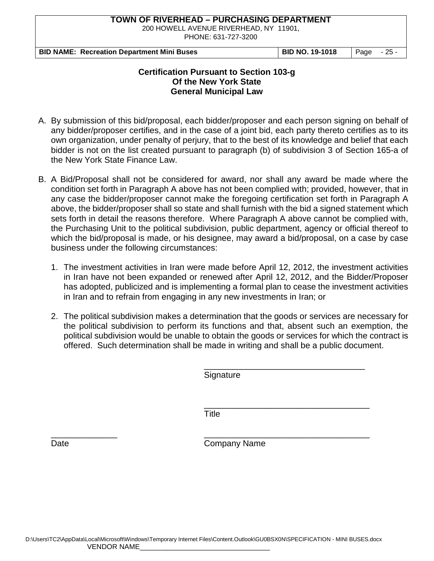200 HOWELL AVENUE RIVERHEAD, NY 11901,

PHONE: 631-727-3200

| <b>BID NAME: Recreation Department Mini Buses</b> | <b>BID NO. 19-1018</b> | Page - 25 - |
|---------------------------------------------------|------------------------|-------------|
|---------------------------------------------------|------------------------|-------------|

#### **Certification Pursuant to Section 103-g Of the New York State General Municipal Law**

- A. By submission of this bid/proposal, each bidder/proposer and each person signing on behalf of any bidder/proposer certifies, and in the case of a joint bid, each party thereto certifies as to its own organization, under penalty of perjury, that to the best of its knowledge and belief that each bidder is not on the list created pursuant to paragraph (b) of subdivision 3 of Section 165-a of the New York State Finance Law.
- B. A Bid/Proposal shall not be considered for award, nor shall any award be made where the condition set forth in Paragraph A above has not been complied with; provided, however, that in any case the bidder/proposer cannot make the foregoing certification set forth in Paragraph A above, the bidder/proposer shall so state and shall furnish with the bid a signed statement which sets forth in detail the reasons therefore. Where Paragraph A above cannot be complied with, the Purchasing Unit to the political subdivision, public department, agency or official thereof to which the bid/proposal is made, or his designee, may award a bid/proposal, on a case by case business under the following circumstances:
	- 1. The investment activities in Iran were made before April 12, 2012, the investment activities in Iran have not been expanded or renewed after April 12, 2012, and the Bidder/Proposer has adopted, publicized and is implementing a formal plan to cease the investment activities in Iran and to refrain from engaging in any new investments in Iran; or
	- 2. The political subdivision makes a determination that the goods or services are necessary for the political subdivision to perform its functions and that, absent such an exemption, the political subdivision would be unable to obtain the goods or services for which the contract is offered. Such determination shall be made in writing and shall be a public document.

\_\_\_\_\_\_\_\_\_\_\_\_\_\_\_\_\_\_\_\_\_\_\_\_\_\_\_\_\_\_\_\_\_\_ **Signature** 

\_\_\_\_\_\_\_\_\_\_\_\_\_\_\_\_\_\_\_\_\_\_\_\_\_\_\_\_\_\_\_\_\_\_\_ **Title** 

\_\_\_\_\_\_\_\_\_\_\_\_\_\_ \_\_\_\_\_\_\_\_\_\_\_\_\_\_\_\_\_\_\_\_\_\_\_\_\_\_\_\_\_\_\_\_\_\_\_ Date **Date** Company Name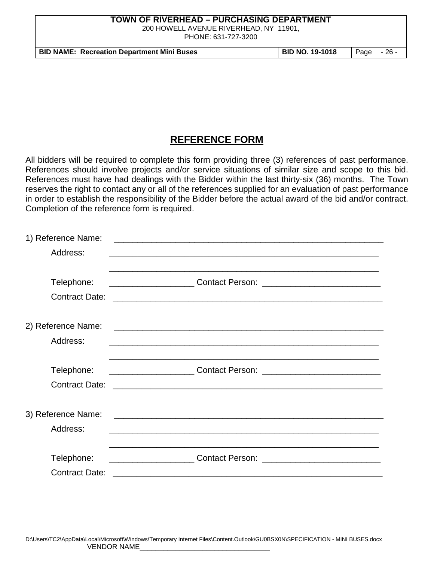200 HOWELL AVENUE RIVERHEAD, NY 11901, PHONE: 631-727-3200

**BID NAME: Recreation Department Mini Buses BID NO. 19-1018** Page - 26 -

# **REFERENCE FORM**

All bidders will be required to complete this form providing three (3) references of past performance. References should involve projects and/or service situations of similar size and scope to this bid. References must have had dealings with the Bidder within the last thirty-six (36) months. The Town reserves the right to contact any or all of the references supplied for an evaluation of past performance in order to establish the responsibility of the Bidder before the actual award of the bid and/or contract. Completion of the reference form is required.

| 1) Reference Name:    |                                                            |  |
|-----------------------|------------------------------------------------------------|--|
| Address:              | <u> 1989 - Johann Stoff, amerikansk politiker (* 1908)</u> |  |
|                       |                                                            |  |
| Telephone:            |                                                            |  |
| <b>Contract Date:</b> |                                                            |  |
|                       |                                                            |  |
| 2) Reference Name:    |                                                            |  |
| Address:              |                                                            |  |
|                       |                                                            |  |
| Telephone:            |                                                            |  |
| <b>Contract Date:</b> |                                                            |  |
|                       |                                                            |  |
| 3) Reference Name:    |                                                            |  |
| Address:              |                                                            |  |
|                       |                                                            |  |
| Telephone:            |                                                            |  |
| <b>Contract Date:</b> |                                                            |  |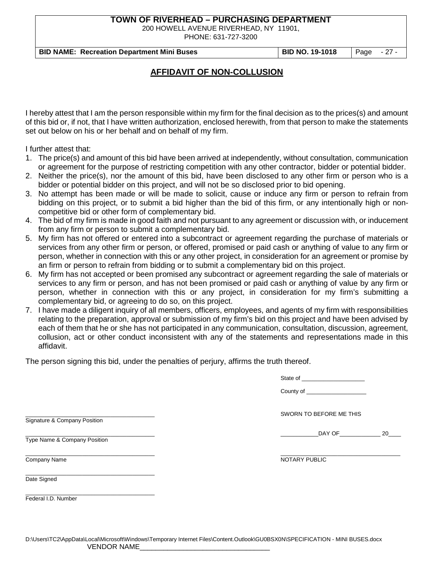200 HOWELL AVENUE RIVERHEAD, NY 11901,

PHONE: 631-727-3200

**BID NAME: Recreation Department Mini Buses BID NO. 19-1018** Page - 27 -

### **AFFIDAVIT OF NON-COLLUSION**

I hereby attest that I am the person responsible within my firm for the final decision as to the prices(s) and amount of this bid or, if not, that I have written authorization, enclosed herewith, from that person to make the statements set out below on his or her behalf and on behalf of my firm.

I further attest that:

- 1. The price(s) and amount of this bid have been arrived at independently, without consultation, communication or agreement for the purpose of restricting competition with any other contractor, bidder or potential bidder.
- 2. Neither the price(s), nor the amount of this bid, have been disclosed to any other firm or person who is a bidder or potential bidder on this project, and will not be so disclosed prior to bid opening.
- 3. No attempt has been made or will be made to solicit, cause or induce any firm or person to refrain from bidding on this project, or to submit a bid higher than the bid of this firm, or any intentionally high or noncompetitive bid or other form of complementary bid.
- 4. The bid of my firm is made in good faith and not pursuant to any agreement or discussion with, or inducement from any firm or person to submit a complementary bid.
- 5. My firm has not offered or entered into a subcontract or agreement regarding the purchase of materials or services from any other firm or person, or offered, promised or paid cash or anything of value to any firm or person, whether in connection with this or any other project, in consideration for an agreement or promise by an firm or person to refrain from bidding or to submit a complementary bid on this project.
- 6. My firm has not accepted or been promised any subcontract or agreement regarding the sale of materials or services to any firm or person, and has not been promised or paid cash or anything of value by any firm or person, whether in connection with this or any project, in consideration for my firm's submitting a complementary bid, or agreeing to do so, on this project.
- 7. I have made a diligent inquiry of all members, officers, employees, and agents of my firm with responsibilities relating to the preparation, approval or submission of my firm's bid on this project and have been advised by each of them that he or she has not participated in any communication, consultation, discussion, agreement, collusion, act or other conduct inconsistent with any of the statements and representations made in this affidavit.

The person signing this bid, under the penalties of perjury, affirms the truth thereof.

| State of |  |  |
|----------|--|--|
|          |  |  |

SWORN TO BEFORE ME THIS

 $20$ 

Signature & Company Position

Type Name & Company Position

\_\_\_\_\_\_\_\_\_\_\_\_\_\_\_\_\_\_\_\_\_\_\_\_\_\_\_\_\_\_\_\_\_\_\_\_\_\_\_\_\_

\_\_\_\_\_\_\_\_\_\_\_\_\_\_\_\_\_\_\_\_\_\_\_\_\_\_\_\_\_\_\_\_\_\_\_\_\_\_\_\_\_ \_\_\_\_\_\_\_\_\_\_\_\_\_\_\_\_\_\_\_\_\_\_\_\_\_\_\_\_\_\_\_\_\_\_\_\_\_\_

Company Name NOTARY PUBLIC

Date Signed

\_\_\_\_\_\_\_\_\_\_\_\_\_\_\_\_\_\_\_\_\_\_\_\_\_\_\_\_\_\_\_\_\_\_\_\_\_\_\_\_\_ Federal I.D. Number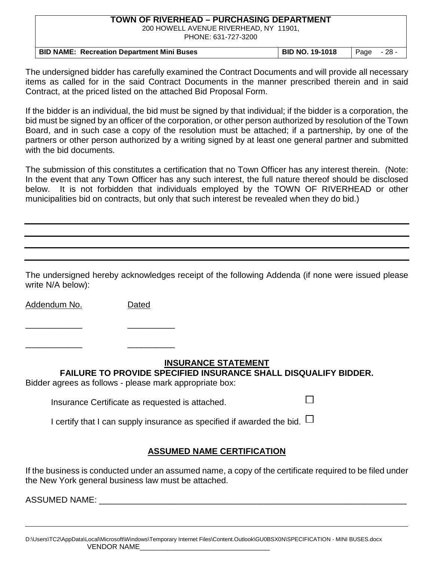200 HOWELL AVENUE RIVERHEAD, NY 11901, PHONE: 631-727-3200

| <b>BID NAME: Recreation Department Mini Buses</b> | <b>BID NO. 19-1018</b> | Page - 28 - |  |
|---------------------------------------------------|------------------------|-------------|--|

The undersigned bidder has carefully examined the Contract Documents and will provide all necessary items as called for in the said Contract Documents in the manner prescribed therein and in said Contract, at the priced listed on the attached Bid Proposal Form.

If the bidder is an individual, the bid must be signed by that individual; if the bidder is a corporation, the bid must be signed by an officer of the corporation, or other person authorized by resolution of the Town Board, and in such case a copy of the resolution must be attached; if a partnership, by one of the partners or other person authorized by a writing signed by at least one general partner and submitted with the bid documents.

The submission of this constitutes a certification that no Town Officer has any interest therein. (Note: In the event that any Town Officer has any such interest, the full nature thereof should be disclosed below. It is not forbidden that individuals employed by the TOWN OF RIVERHEAD or other municipalities bid on contracts, but only that such interest be revealed when they do bid.)

The undersigned hereby acknowledges receipt of the following Addenda (if none were issued please write N/A below):

Addendum No. Dated

\_\_\_\_\_\_\_\_\_\_\_\_ \_\_\_\_\_\_\_\_\_\_

\_\_\_\_\_\_\_\_\_\_\_\_ \_\_\_\_\_\_\_\_\_\_

#### **INSURANCE STATEMENT**

П

**FAILURE TO PROVIDE SPECIFIED INSURANCE SHALL DISQUALIFY BIDDER.**

Bidder agrees as follows - please mark appropriate box:

Insurance Certificate as requested is attached.

I certify that I can supply insurance as specified if awarded the bid.  $\Box$ 

# **ASSUMED NAME CERTIFICATION**

If the business is conducted under an assumed name, a copy of the certificate required to be filed under the New York general business law must be attached.

ASSUMED NAME: \_\_\_\_\_\_\_\_\_\_\_\_\_\_\_\_\_\_\_\_\_\_\_\_\_\_\_\_\_\_\_\_\_\_\_\_\_\_\_\_\_\_\_\_\_\_\_\_\_\_\_\_\_\_\_\_\_\_\_\_\_\_\_\_\_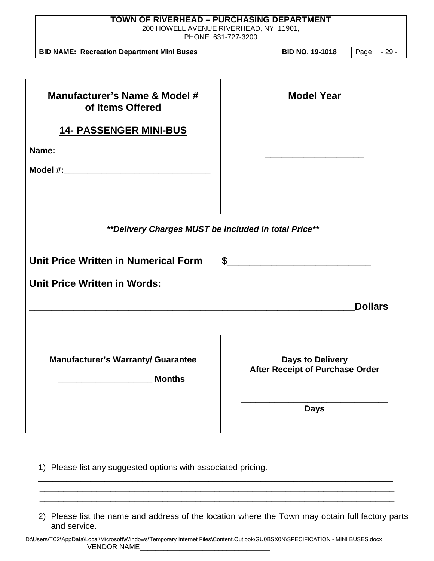| <b>TOWN OF RIVERHEAD - PURCHASING DEPARTMENT</b><br>200 HOWELL AVENUE RIVERHEAD, NY 11901,<br>PHONE: 631-727-3200 |                                                                   |  |
|-------------------------------------------------------------------------------------------------------------------|-------------------------------------------------------------------|--|
| <b>BID NAME: Recreation Department Mini Buses</b>                                                                 | <b>BID NO. 19-1018</b><br>Page - 29 -                             |  |
| Manufacturer's Name & Model #                                                                                     | <b>Model Year</b>                                                 |  |
| of Items Offered<br><b>14- PASSENGER MINI-BUS</b>                                                                 |                                                                   |  |
|                                                                                                                   |                                                                   |  |
|                                                                                                                   |                                                                   |  |
| **Delivery Charges MUST be Included in total Price**                                                              |                                                                   |  |
| Unit Price Written in Numerical Form                                                                              | $\sim$                                                            |  |
| <b>Unit Price Written in Words:</b>                                                                               |                                                                   |  |
|                                                                                                                   | <b>Dollars</b>                                                    |  |
| <b>Manufacturer's Warranty/ Guarantee</b><br><b>Months</b>                                                        | <b>Days to Delivery</b><br><b>After Receipt of Purchase Order</b> |  |
|                                                                                                                   | <b>Days</b>                                                       |  |

1) Please list any suggested options with associated pricing.

2) Please list the name and address of the location where the Town may obtain full factory parts and service.

\_\_\_\_\_\_\_\_\_\_\_\_\_\_\_\_\_\_\_\_\_\_\_\_\_\_\_\_\_\_\_\_\_\_\_\_\_\_\_\_\_\_\_\_\_\_\_\_\_\_\_\_\_\_\_\_\_\_\_\_\_\_\_\_\_\_\_\_\_\_\_\_\_\_\_ \_\_\_\_\_\_\_\_\_\_\_\_\_\_\_\_\_\_\_\_\_\_\_\_\_\_\_\_\_\_\_\_\_\_\_\_\_\_\_\_\_\_\_\_\_\_\_\_\_\_\_\_\_\_\_\_\_\_\_\_\_\_\_\_\_\_\_\_\_\_\_\_\_\_\_ \_\_\_\_\_\_\_\_\_\_\_\_\_\_\_\_\_\_\_\_\_\_\_\_\_\_\_\_\_\_\_\_\_\_\_\_\_\_\_\_\_\_\_\_\_\_\_\_\_\_\_\_\_\_\_\_\_\_\_\_\_\_\_\_\_\_\_\_\_\_\_\_\_\_\_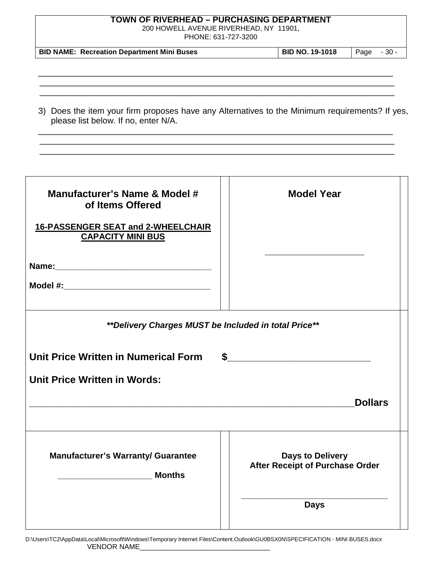200 HOWELL AVENUE RIVERHEAD, NY 11901,

PHONE: 631-727-3200

| <b>BID NAME: Recreation Department Mini Buses</b> | <b>BID NO. 19-1018</b> | $\vert$ Page $\vert$ - 30 - |  |
|---------------------------------------------------|------------------------|-----------------------------|--|
|---------------------------------------------------|------------------------|-----------------------------|--|

\_\_\_\_\_\_\_\_\_\_\_\_\_\_\_\_\_\_\_\_\_\_\_\_\_\_\_\_\_\_\_\_\_\_\_\_\_\_\_\_\_\_\_\_\_\_\_\_\_\_\_\_\_\_\_\_\_\_\_\_\_\_\_\_\_\_\_\_\_\_\_\_\_\_\_ \_\_\_\_\_\_\_\_\_\_\_\_\_\_\_\_\_\_\_\_\_\_\_\_\_\_\_\_\_\_\_\_\_\_\_\_\_\_\_\_\_\_\_\_\_\_\_\_\_\_\_\_\_\_\_\_\_\_\_\_\_\_\_\_\_\_\_\_\_\_\_\_\_\_\_ \_\_\_\_\_\_\_\_\_\_\_\_\_\_\_\_\_\_\_\_\_\_\_\_\_\_\_\_\_\_\_\_\_\_\_\_\_\_\_\_\_\_\_\_\_\_\_\_\_\_\_\_\_\_\_\_\_\_\_\_\_\_\_\_\_\_\_\_\_\_\_\_\_\_\_

| 3) Does the item your firm proposes have any Alternatives to the Minimum requirements? If yes, |  |
|------------------------------------------------------------------------------------------------|--|
| please list below. If no, enter N/A.                                                           |  |

\_\_\_\_\_\_\_\_\_\_\_\_\_\_\_\_\_\_\_\_\_\_\_\_\_\_\_\_\_\_\_\_\_\_\_\_\_\_\_\_\_\_\_\_\_\_\_\_\_\_\_\_\_\_\_\_\_\_\_\_\_\_\_\_\_\_\_\_\_\_\_\_\_\_\_ \_\_\_\_\_\_\_\_\_\_\_\_\_\_\_\_\_\_\_\_\_\_\_\_\_\_\_\_\_\_\_\_\_\_\_\_\_\_\_\_\_\_\_\_\_\_\_\_\_\_\_\_\_\_\_\_\_\_\_\_\_\_\_\_\_\_\_\_\_\_\_\_\_\_\_ \_\_\_\_\_\_\_\_\_\_\_\_\_\_\_\_\_\_\_\_\_\_\_\_\_\_\_\_\_\_\_\_\_\_\_\_\_\_\_\_\_\_\_\_\_\_\_\_\_\_\_\_\_\_\_\_\_\_\_\_\_\_\_\_\_\_\_\_\_\_\_\_\_\_\_

| Manufacturer's Name & Model #<br>of Items Offered<br>16-PASSENGER SEAT and 2-WHEELCHAIR<br><b>CAPACITY MINI BUS</b> | <b>Model Year</b>                                          |  |  |  |
|---------------------------------------------------------------------------------------------------------------------|------------------------------------------------------------|--|--|--|
|                                                                                                                     |                                                            |  |  |  |
|                                                                                                                     |                                                            |  |  |  |
| ** Delivery Charges MUST be Included in total Price**                                                               |                                                            |  |  |  |
| Unit Price Written in Numerical Form                                                                                | \$                                                         |  |  |  |
| <b>Unit Price Written in Words:</b>                                                                                 |                                                            |  |  |  |
|                                                                                                                     | <b>Dollars</b>                                             |  |  |  |
|                                                                                                                     |                                                            |  |  |  |
| <b>Manufacturer's Warranty/ Guarantee</b>                                                                           | <b>Days to Delivery</b><br>After Receipt of Purchase Order |  |  |  |
|                                                                                                                     | <b>Days</b>                                                |  |  |  |

|                    | D:\Users\TC2\AppData\Local\Microsoft\Windows\Temporary Internet Files\Content.Outlook\GU0BSX0N\SPECIFICATION - MINI BUSES.docx |
|--------------------|--------------------------------------------------------------------------------------------------------------------------------|
| <b>VENDOR NAME</b> |                                                                                                                                |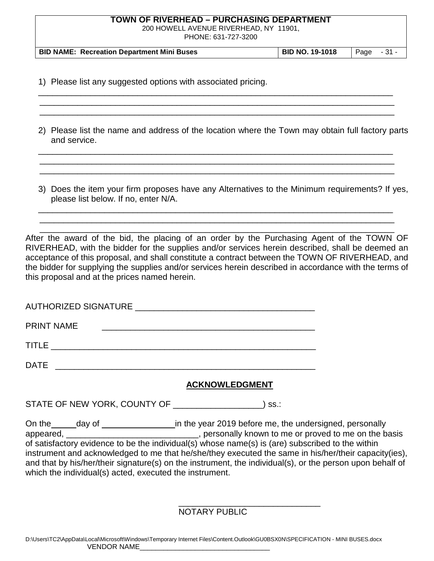200 HOWELL AVENUE RIVERHEAD, NY 11901,

PHONE: 631-727-3200

| <b>BID NAME: Recreation Department Mini Buses</b> | <b>BID NO. 19-1018</b> | $\vert$ Page $-31$ - |  |
|---------------------------------------------------|------------------------|----------------------|--|
|                                                   |                        |                      |  |

\_\_\_\_\_\_\_\_\_\_\_\_\_\_\_\_\_\_\_\_\_\_\_\_\_\_\_\_\_\_\_\_\_\_\_\_\_\_\_\_\_\_\_\_\_\_\_\_\_\_\_\_\_\_\_\_\_\_\_\_\_\_\_\_\_\_\_\_\_\_\_\_\_\_\_ \_\_\_\_\_\_\_\_\_\_\_\_\_\_\_\_\_\_\_\_\_\_\_\_\_\_\_\_\_\_\_\_\_\_\_\_\_\_\_\_\_\_\_\_\_\_\_\_\_\_\_\_\_\_\_\_\_\_\_\_\_\_\_\_\_\_\_\_\_\_\_\_\_\_\_ \_\_\_\_\_\_\_\_\_\_\_\_\_\_\_\_\_\_\_\_\_\_\_\_\_\_\_\_\_\_\_\_\_\_\_\_\_\_\_\_\_\_\_\_\_\_\_\_\_\_\_\_\_\_\_\_\_\_\_\_\_\_\_\_\_\_\_\_\_\_\_\_\_\_\_

1) Please list any suggested options with associated pricing.

2) Please list the name and address of the location where the Town may obtain full factory parts and service.

\_\_\_\_\_\_\_\_\_\_\_\_\_\_\_\_\_\_\_\_\_\_\_\_\_\_\_\_\_\_\_\_\_\_\_\_\_\_\_\_\_\_\_\_\_\_\_\_\_\_\_\_\_\_\_\_\_\_\_\_\_\_\_\_\_\_\_\_\_\_\_\_\_\_\_ \_\_\_\_\_\_\_\_\_\_\_\_\_\_\_\_\_\_\_\_\_\_\_\_\_\_\_\_\_\_\_\_\_\_\_\_\_\_\_\_\_\_\_\_\_\_\_\_\_\_\_\_\_\_\_\_\_\_\_\_\_\_\_\_\_\_\_\_\_\_\_\_\_\_\_ \_\_\_\_\_\_\_\_\_\_\_\_\_\_\_\_\_\_\_\_\_\_\_\_\_\_\_\_\_\_\_\_\_\_\_\_\_\_\_\_\_\_\_\_\_\_\_\_\_\_\_\_\_\_\_\_\_\_\_\_\_\_\_\_\_\_\_\_\_\_\_\_\_\_\_

3) Does the item your firm proposes have any Alternatives to the Minimum requirements? If yes, please list below. If no, enter N/A.

\_\_\_\_\_\_\_\_\_\_\_\_\_\_\_\_\_\_\_\_\_\_\_\_\_\_\_\_\_\_\_\_\_\_\_\_\_\_\_\_\_\_\_\_\_\_\_\_\_\_\_\_\_\_\_\_\_\_\_\_\_\_\_\_\_\_\_\_\_\_\_\_\_\_\_ \_\_\_\_\_\_\_\_\_\_\_\_\_\_\_\_\_\_\_\_\_\_\_\_\_\_\_\_\_\_\_\_\_\_\_\_\_\_\_\_\_\_\_\_\_\_\_\_\_\_\_\_\_\_\_\_\_\_\_\_\_\_\_\_\_\_\_\_\_\_\_\_\_\_\_

 \_\_\_\_\_\_\_\_\_\_\_\_\_\_\_\_\_\_\_\_\_\_\_\_\_\_\_\_\_\_\_\_\_\_\_\_\_\_\_\_\_\_\_\_\_\_\_\_\_\_\_\_\_\_\_\_\_\_\_\_\_\_\_\_\_\_\_\_\_\_\_\_\_\_\_ After the award of the bid, the placing of an order by the Purchasing Agent of the TOWN OF RIVERHEAD, with the bidder for the supplies and/or services herein described, shall be deemed an acceptance of this proposal, and shall constitute a contract between the TOWN OF RIVERHEAD, and the bidder for supplying the supplies and/or services herein described in accordance with the terms of this proposal and at the prices named herein.

| <b>PRINT NAME</b> |                                                                                                                        |  |  |  |
|-------------------|------------------------------------------------------------------------------------------------------------------------|--|--|--|
| TITLE             | <u> 1980 - Jan Samuel Barbara, margaret e</u> n 1980 eta eta 1980 eta 1980 eta 1980 eta 1980 eta 1980 eta 1980 eta 198 |  |  |  |
| DATE              |                                                                                                                        |  |  |  |

# **ACKNOWLEDGMENT**

STATE OF NEW YORK, COUNTY OF \_\_\_\_\_\_\_\_\_\_\_\_\_\_\_\_\_\_\_) ss.:

On the day of data day definition the year 2019 before me, the undersigned, personally appeared, \_\_\_\_\_\_\_\_\_\_\_\_\_\_\_\_\_\_\_\_\_\_\_\_\_\_\_\_\_\_, personally known to me or proved to me on the basis of satisfactory evidence to be the individual(s) whose name(s) is (are) subscribed to the within instrument and acknowledged to me that he/she/they executed the same in his/her/their capacity(ies), and that by his/her/their signature(s) on the instrument, the individual(s), or the person upon behalf of which the individual(s) acted, executed the instrument.

> \_\_\_\_\_\_\_\_\_\_\_\_\_\_\_\_\_\_\_\_\_\_\_\_\_\_\_\_\_\_ NOTARY PUBLIC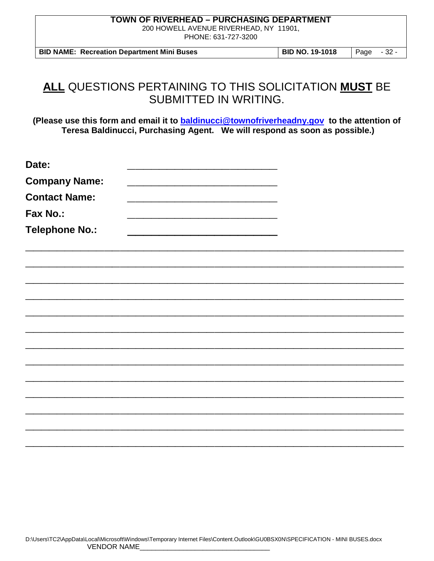200 HOWELL AVENUE RIVERHEAD, NY 11901, PHONE: 631-727-3200

**BID NAME: Recreation Department Mini Buses BID NO. 19-1018** Page - 32 -

# **ALL** QUESTIONS PERTAINING TO THIS SOLICITATION **MUST** BE SUBMITTED IN WRITING.

**(Please use this form and email it to [baldinucci@townofriverheadny.gov](mailto:baldinucci@townofriverheadny.gov) to the attention of Teresa Baldinucci, Purchasing Agent. We will respond as soon as possible.)**

| Date:                 |  |  |
|-----------------------|--|--|
| <b>Company Name:</b>  |  |  |
| <b>Contact Name:</b>  |  |  |
| Fax No.:              |  |  |
| <b>Telephone No.:</b> |  |  |
|                       |  |  |
|                       |  |  |
|                       |  |  |
|                       |  |  |
|                       |  |  |
|                       |  |  |
|                       |  |  |
|                       |  |  |
|                       |  |  |
|                       |  |  |
|                       |  |  |
|                       |  |  |
|                       |  |  |